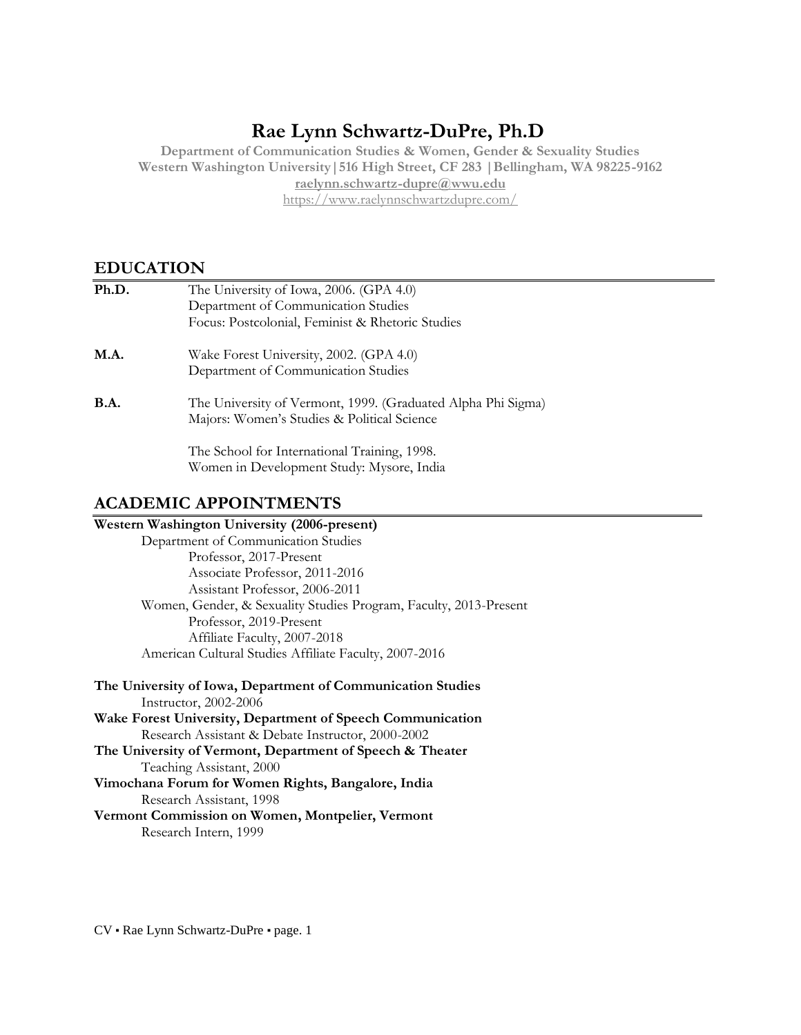# **Rae Lynn Schwartz-DuPre, Ph.D**

**Department of Communication Studies & Women, Gender & Sexuality Studies Western Washington University|516 High Street, CF 283 |Bellingham, WA 98225-9162 [raelynn.schwartz-dupre@wwu.edu](mailto:raelynn.schwartz-dupre@wwu.edu)** <https://www.raelynnschwartzdupre.com/>

## **EDUCATION**

| Ph.D.       | The University of Iowa, 2006. (GPA 4.0)                      |  |
|-------------|--------------------------------------------------------------|--|
|             | Department of Communication Studies                          |  |
|             | Focus: Postcolonial, Feminist & Rhetoric Studies             |  |
| <b>M.A.</b> | Wake Forest University, 2002. (GPA 4.0)                      |  |
|             | Department of Communication Studies                          |  |
| <b>B.A.</b> | The University of Vermont, 1999. (Graduated Alpha Phi Sigma) |  |
|             | Majors: Women's Studies & Political Science                  |  |
|             | The School for International Training, 1998.                 |  |
|             | Women in Development Study: Mysore, India                    |  |

## **ACADEMIC APPOINTMENTS**

## **Western Washington University (2006-present)**  Department of Communication Studies Professor, 2017-Present Associate Professor, 2011-2016 Assistant Professor, 2006-2011 Women, Gender, & Sexuality Studies Program, Faculty, 2013-Present Professor, 2019-Present Affiliate Faculty, 2007-2018 American Cultural Studies Affiliate Faculty, 2007-2016

| The University of Iowa, Department of Communication Studies |  |  |  |
|-------------------------------------------------------------|--|--|--|
| Instructor, 2002-2006                                       |  |  |  |
| Wake Forest University, Department of Speech Communication  |  |  |  |
| Research Assistant & Debate Instructor, 2000-2002           |  |  |  |
| The University of Vermont, Department of Speech & Theater   |  |  |  |
| Teaching Assistant, 2000                                    |  |  |  |
| Vimochana Forum for Women Rights, Bangalore, India          |  |  |  |
| Research Assistant, 1998                                    |  |  |  |
| Vermont Commission on Women, Montpelier, Vermont            |  |  |  |
| Research Intern, 1999                                       |  |  |  |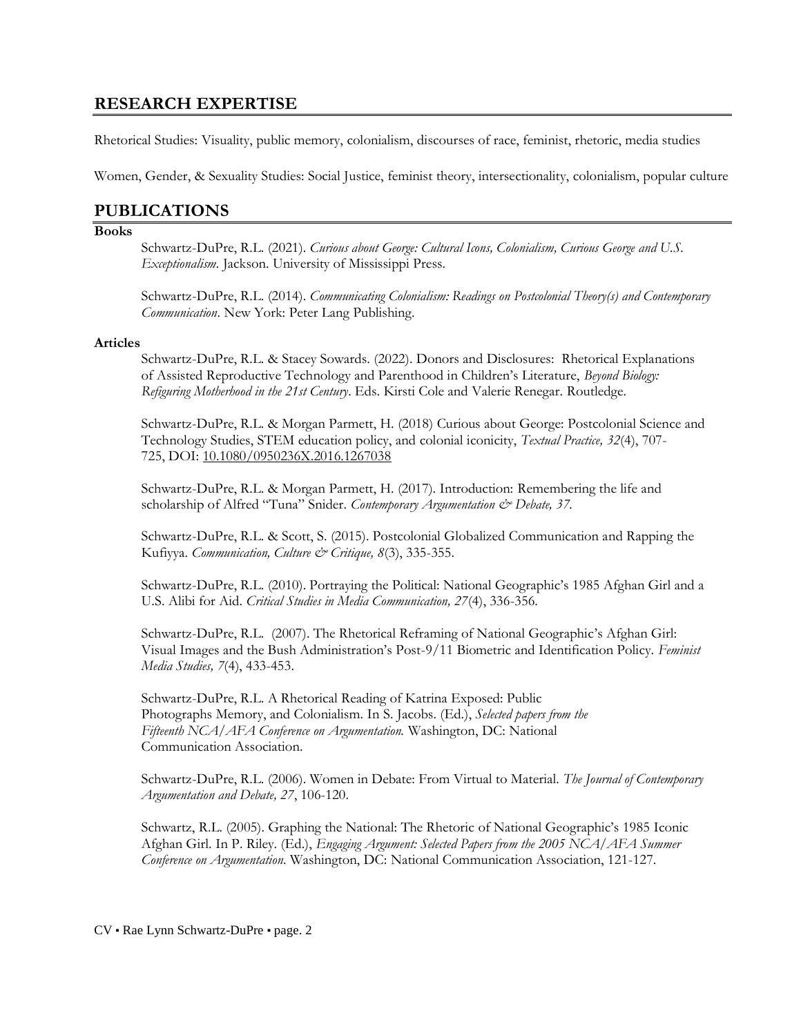## **RESEARCH EXPERTISE**

Rhetorical Studies: Visuality, public memory, colonialism, discourses of race, feminist, rhetoric, media studies

Women, Gender, & Sexuality Studies: Social Justice, feminist theory, intersectionality, colonialism, popular culture

## **PUBLICATIONS**

#### **Books**

Schwartz-DuPre, R.L. (2021). *Curious about George: Cultural Icons, Colonialism, Curious George and U.S. Exceptionalism.* Jackson. University of Mississippi Press.

Schwartz-DuPre, R.L. (2014). *Communicating Colonialism: Readings on Postcolonial Theory(s) and Contemporary Communication*. New York: Peter Lang Publishing.

#### **Articles**

Schwartz-DuPre, R.L. & Stacey Sowards. (2022). Donors and Disclosures: Rhetorical Explanations of Assisted Reproductive Technology and Parenthood in Children's Literature, *Beyond Biology: Refiguring Motherhood in the 21st Century*. Eds. Kirsti Cole and Valerie Renegar. Routledge.

Schwartz-DuPre, R.L. & Morgan Parmett, H. (2018) Curious about George: Postcolonial Science and Technology Studies, STEM education policy, and colonial iconicity, *Textual Practice, 32*(4), 707- 725, DOI: [10.1080/0950236X.2016.1267038](https://doi-org.ezproxy.library.wwu.edu/10.1080/0950236X.2016.1267038)

Schwartz-DuPre, R.L. & Morgan Parmett, H. (2017). Introduction: Remembering the life and scholarship of Alfred "Tuna" Snider. *Contemporary Argumentation & Debate*, 37.

Schwartz-DuPre, R.L. & Scott, S. (2015). Postcolonial Globalized Communication and Rapping the Kufiyya. *Communication, Culture & Critique, 8*(3), 335-355.

Schwartz-DuPre, R.L. (2010). Portraying the Political: National Geographic's 1985 Afghan Girl and a U.S. Alibi for Aid. *Critical Studies in Media Communication, 27*(4), 336-356.

Schwartz-DuPre, R.L. (2007). The Rhetorical Reframing of National Geographic's Afghan Girl: Visual Images and the Bush Administration's Post-9/11 Biometric and Identification Policy. *Feminist Media Studies, 7*(4), 433-453.

Schwartz-DuPre, R.L. A Rhetorical Reading of Katrina Exposed: Public Photographs Memory, and Colonialism. In S. Jacobs. (Ed.), *Selected papers from the Fifteenth NCA/AFA Conference on Argumentation.* Washington, DC: National Communication Association.

Schwartz-DuPre, R.L. (2006). Women in Debate: From Virtual to Material. *The Journal of Contemporary Argumentation and Debate, 27*, 106-120.

Schwartz, R.L. (2005). Graphing the National: The Rhetoric of National Geographic's 1985 Iconic Afghan Girl. In P. Riley. (Ed.), *Engaging Argument: Selected Papers from the 2005 NCA/AFA Summer Conference on Argumentation*. Washington, DC: National Communication Association, 121-127.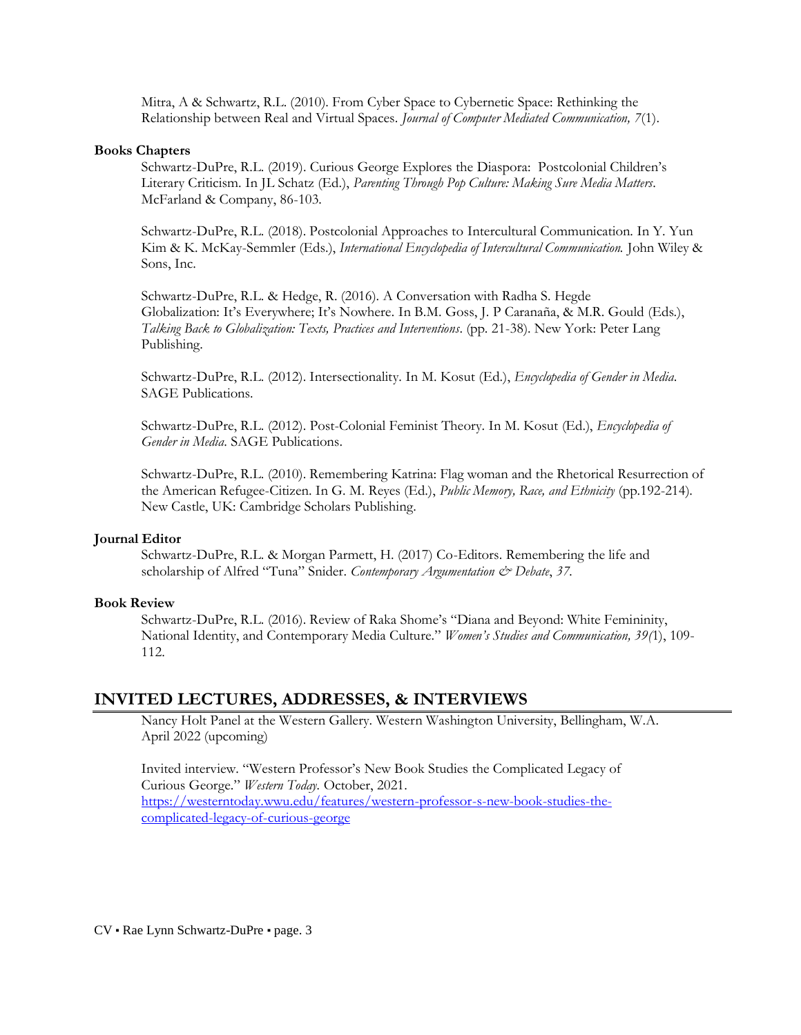Mitra, A & Schwartz, R.L. (2010). From Cyber Space to Cybernetic Space: Rethinking the Relationship between Real and Virtual Spaces. *Journal of Computer Mediated Communication, 7*(1).

#### **Books Chapters**

Schwartz-DuPre, R.L. (2019). Curious George Explores the Diaspora: Postcolonial Children's Literary Criticism. In JL Schatz (Ed.), *Parenting Through Pop Culture: Making Sure Media Matters*. McFarland & Company, 86-103.

Schwartz-DuPre, R.L. (2018). Postcolonial Approaches to Intercultural Communication. In Y. Yun Kim & K. McKay-Semmler (Eds.), *International Encyclopedia of Intercultural Communication.* John Wiley & Sons, Inc.

Schwartz-DuPre, R.L. & Hedge, R. (2016). A Conversation with Radha S. Hegde Globalization: It's Everywhere; It's Nowhere*.* In B.M. Goss, J. P Caranaña, & M.R. Gould (Eds.), *Talking Back to Globalization: Texts, Practices and Interventions*. (pp. 21-38). New York: Peter Lang Publishing.

Schwartz-DuPre, R.L. (2012). Intersectionality. In M. Kosut (Ed.), *Encyclopedia of Gender in Media*. SAGE Publications.

Schwartz-DuPre, R.L. (2012). Post-Colonial Feminist Theory. In M. Kosut (Ed.), *Encyclopedia of Gender in Media*. SAGE Publications.

Schwartz-DuPre, R.L. (2010). Remembering Katrina: Flag woman and the Rhetorical Resurrection of the American Refugee-Citizen. In G. M. Reyes (Ed.), *Public Memory, Race, and Ethnicity* (pp.192-214). New Castle, UK: Cambridge Scholars Publishing.

#### **Journal Editor**

Schwartz-DuPre, R.L. & Morgan Parmett, H. (2017) Co-Editors. Remembering the life and scholarship of Alfred "Tuna" Snider. *Contemporary Argumentation & Debate*, 37.

#### **Book Review**

Schwartz-DuPre, R.L. (2016). Review of Raka Shome's "Diana and Beyond: White Femininity, National Identity, and Contemporary Media Culture." *Women's Studies and Communication, 39(*1), 109- 112.

## **INVITED LECTURES, ADDRESSES, & INTERVIEWS**

Nancy Holt Panel at the Western Gallery. Western Washington University, Bellingham, W.A. April 2022 (upcoming)

Invited interview. "Western Professor's New Book Studies the Complicated Legacy of Curious George." *Western Today.* October, 2021. [https://westerntoday.wwu.edu/features/western-professor-s-new-book-studies-the](https://westerntoday.wwu.edu/features/western-professor-s-new-book-studies-the-complicated-legacy-of-curious-george)[complicated-legacy-of-curious-george](https://westerntoday.wwu.edu/features/western-professor-s-new-book-studies-the-complicated-legacy-of-curious-george)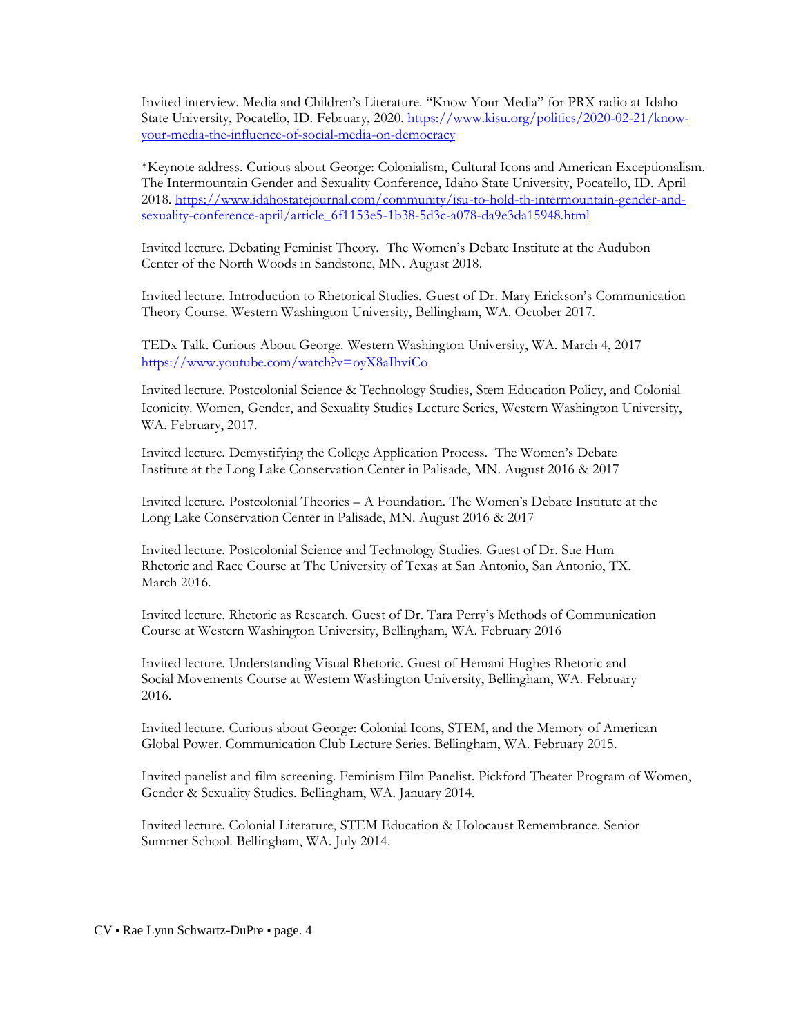Invited interview. Media and Children's Literature. "Know Your Media" for PRX radio at Idaho State University, Pocatello, ID. February, 2020. [https://www.kisu.org/politics/2020-02-21/know](https://www.kisu.org/politics/2020-02-21/know-your-media-the-influence-of-social-media-on-democracy)[your-media-the-influence-of-social-media-on-democracy](https://www.kisu.org/politics/2020-02-21/know-your-media-the-influence-of-social-media-on-democracy)

\*Keynote address. Curious about George: Colonialism, Cultural Icons and American Exceptionalism. The Intermountain Gender and Sexuality Conference, Idaho State University, Pocatello, ID. April 2018. [https://www.idahostatejournal.com/community/isu-to-hold-th-intermountain-gender-and](https://www.idahostatejournal.com/community/isu-to-hold-th-intermountain-gender-and-sexuality-conference-april/article_6f1153e5-1b38-5d3c-a078-da9e3da15948.html)[sexuality-conference-april/article\\_6f1153e5-1b38-5d3c-a078-da9e3da15948.html](https://www.idahostatejournal.com/community/isu-to-hold-th-intermountain-gender-and-sexuality-conference-april/article_6f1153e5-1b38-5d3c-a078-da9e3da15948.html)

Invited lecture. Debating Feminist Theory. The Women's Debate Institute at the Audubon Center of the North Woods in Sandstone, MN. August 2018.

Invited lecture. Introduction to Rhetorical Studies. Guest of Dr. Mary Erickson's Communication Theory Course. Western Washington University, Bellingham, WA. October 2017.

TEDx Talk. Curious About George. Western Washington University, WA. March 4, 2017 <https://www.youtube.com/watch?v=oyX8aIhviCo>

Invited lecture. Postcolonial Science & Technology Studies, Stem Education Policy, and Colonial Iconicity. Women, Gender, and Sexuality Studies Lecture Series, Western Washington University, WA. February, 2017.

Invited lecture. Demystifying the College Application Process. The Women's Debate Institute at the Long Lake Conservation Center in Palisade, MN. August 2016 & 2017

Invited lecture. Postcolonial Theories – A Foundation. The Women's Debate Institute at the Long Lake Conservation Center in Palisade, MN. August 2016 & 2017

Invited lecture. Postcolonial Science and Technology Studies. Guest of Dr. Sue Hum Rhetoric and Race Course at The University of Texas at San Antonio, San Antonio, TX. March 2016.

Invited lecture. Rhetoric as Research. Guest of Dr. Tara Perry's Methods of Communication Course at Western Washington University, Bellingham, WA. February 2016

Invited lecture. Understanding Visual Rhetoric. Guest of Hemani Hughes Rhetoric and Social Movements Course at Western Washington University, Bellingham, WA. February 2016.

Invited lecture. Curious about George: Colonial Icons, STEM, and the Memory of American Global Power. Communication Club Lecture Series. Bellingham, WA. February 2015.

Invited panelist and film screening. Feminism Film Panelist. Pickford Theater Program of Women, Gender & Sexuality Studies. Bellingham, WA. January 2014.

Invited lecture. Colonial Literature, STEM Education & Holocaust Remembrance. Senior Summer School. Bellingham, WA. July 2014.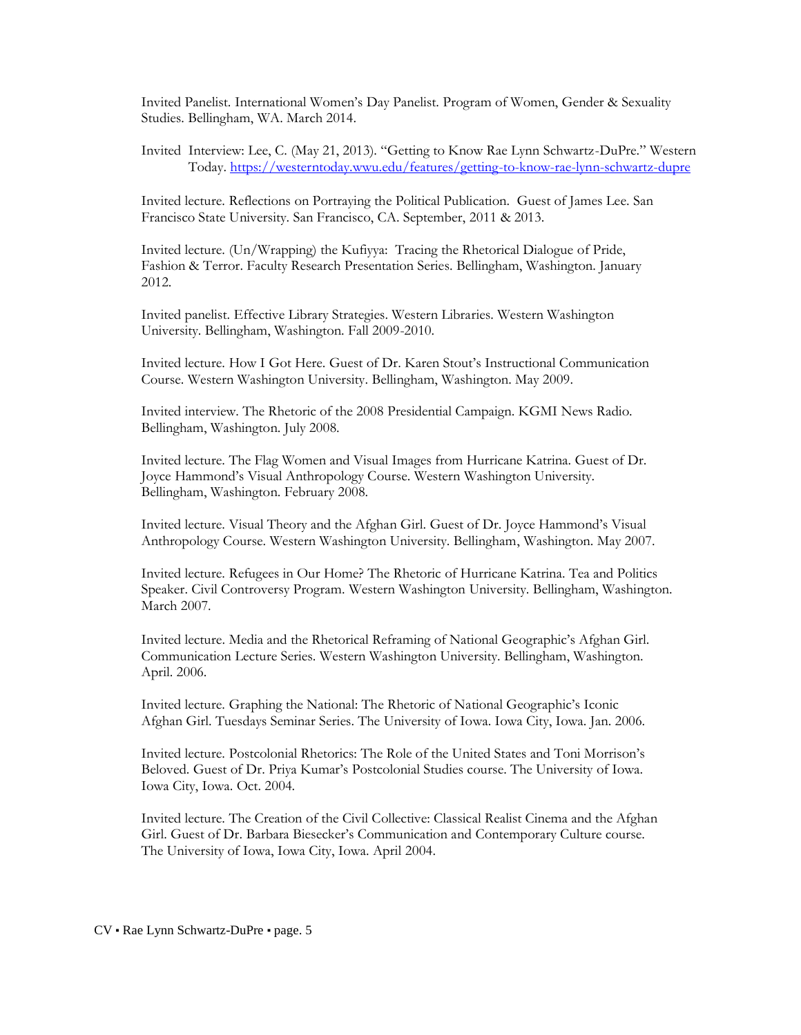Invited Panelist. International Women's Day Panelist. Program of Women, Gender & Sexuality Studies. Bellingham, WA. March 2014.

Invited Interview: Lee, C. (May 21, 2013). "Getting to Know Rae Lynn Schwartz-DuPre." Western Today.<https://westerntoday.wwu.edu/features/getting-to-know-rae-lynn-schwartz-dupre>

Invited lecture. Reflections on Portraying the Political Publication. Guest of James Lee. San Francisco State University. San Francisco, CA. September, 2011 & 2013.

Invited lecture. (Un/Wrapping) the Kufiyya: Tracing the Rhetorical Dialogue of Pride, Fashion & Terror. Faculty Research Presentation Series. Bellingham, Washington. January 2012.

Invited panelist. Effective Library Strategies. Western Libraries. Western Washington University. Bellingham, Washington. Fall 2009-2010.

Invited lecture. How I Got Here. Guest of Dr. Karen Stout's Instructional Communication Course. Western Washington University. Bellingham, Washington. May 2009.

Invited interview. The Rhetoric of the 2008 Presidential Campaign. KGMI News Radio. Bellingham, Washington. July 2008.

Invited lecture. The Flag Women and Visual Images from Hurricane Katrina. Guest of Dr. Joyce Hammond's Visual Anthropology Course. Western Washington University. Bellingham, Washington. February 2008.

Invited lecture. Visual Theory and the Afghan Girl. Guest of Dr. Joyce Hammond's Visual Anthropology Course. Western Washington University. Bellingham, Washington. May 2007.

Invited lecture. Refugees in Our Home? The Rhetoric of Hurricane Katrina. Tea and Politics Speaker. Civil Controversy Program. Western Washington University. Bellingham, Washington. March 2007.

Invited lecture. Media and the Rhetorical Reframing of National Geographic's Afghan Girl. Communication Lecture Series. Western Washington University. Bellingham, Washington. April. 2006.

Invited lecture. Graphing the National: The Rhetoric of National Geographic's Iconic Afghan Girl. Tuesdays Seminar Series. The University of Iowa. Iowa City, Iowa. Jan. 2006.

Invited lecture. Postcolonial Rhetorics: The Role of the United States and Toni Morrison's Beloved. Guest of Dr. Priya Kumar's Postcolonial Studies course. The University of Iowa. Iowa City, Iowa. Oct. 2004.

Invited lecture. The Creation of the Civil Collective: Classical Realist Cinema and the Afghan Girl. Guest of Dr. Barbara Biesecker's Communication and Contemporary Culture course. The University of Iowa, Iowa City, Iowa. April 2004.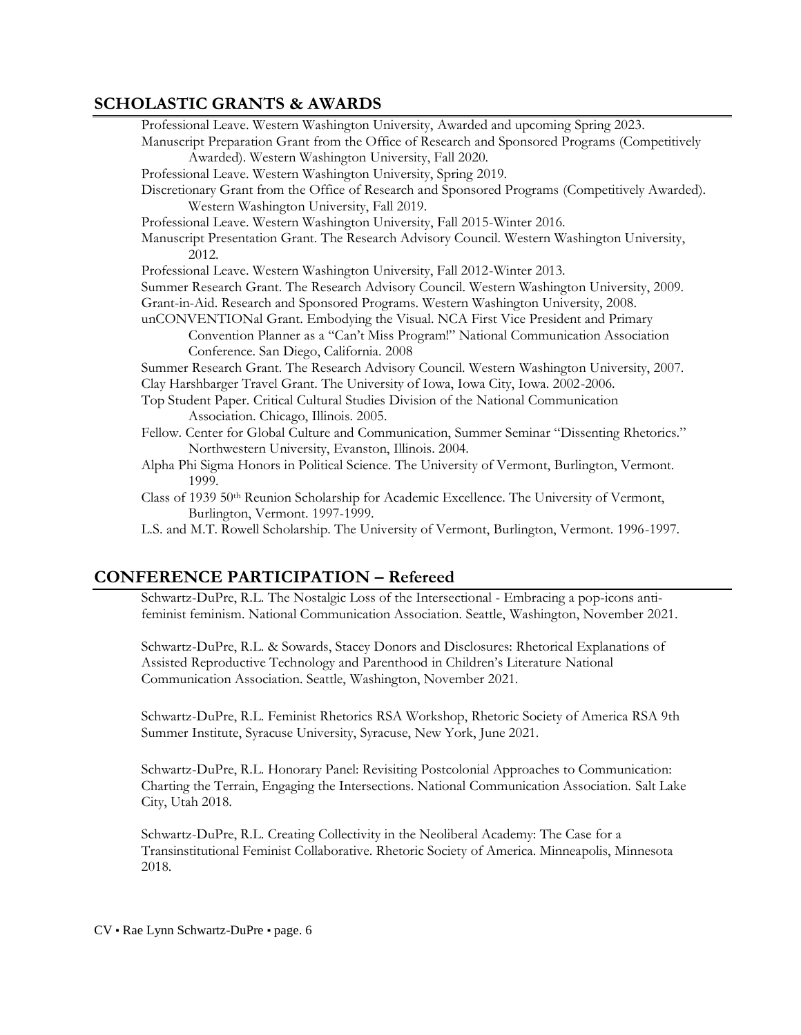# **SCHOLASTIC GRANTS & AWARDS**

| CHOLINIU ORINI 19 & AWARD9                                                                                                                                                       |  |
|----------------------------------------------------------------------------------------------------------------------------------------------------------------------------------|--|
| Professional Leave. Western Washington University, Awarded and upcoming Spring 2023.                                                                                             |  |
| Manuscript Preparation Grant from the Office of Research and Sponsored Programs (Competitively                                                                                   |  |
| Awarded). Western Washington University, Fall 2020.                                                                                                                              |  |
| Professional Leave. Western Washington University, Spring 2019.                                                                                                                  |  |
| Discretionary Grant from the Office of Research and Sponsored Programs (Competitively Awarded).                                                                                  |  |
| Western Washington University, Fall 2019.                                                                                                                                        |  |
| Professional Leave. Western Washington University, Fall 2015-Winter 2016.                                                                                                        |  |
| Manuscript Presentation Grant. The Research Advisory Council. Western Washington University,<br>2012.                                                                            |  |
| Professional Leave. Western Washington University, Fall 2012-Winter 2013.                                                                                                        |  |
| Summer Research Grant. The Research Advisory Council. Western Washington University, 2009.                                                                                       |  |
| Grant-in-Aid. Research and Sponsored Programs. Western Washington University, 2008.                                                                                              |  |
| unCONVENTIONal Grant. Embodying the Visual. NCA First Vice President and Primary                                                                                                 |  |
| Convention Planner as a "Can't Miss Program!" National Communication Association<br>Conference. San Diego, California. 2008                                                      |  |
| Summer Research Grant. The Research Advisory Council. Western Washington University, 2007.<br>Clay Harshbarger Travel Grant. The University of Iowa, Iowa City, Iowa. 2002-2006. |  |
| Top Student Paper. Critical Cultural Studies Division of the National Communication<br>Association. Chicago, Illinois. 2005.                                                     |  |
| Fellow. Center for Global Culture and Communication, Summer Seminar "Dissenting Rhetorics."<br>Northwestern University, Evanston, Illinois. 2004.                                |  |
| Alpha Phi Sigma Honors in Political Science. The University of Vermont, Burlington, Vermont.<br>1999.                                                                            |  |
| Class of 1939 50 <sup>th</sup> Reunion Scholarship for Academic Excellence. The University of Vermont,<br>Burlington, Vermont. 1997-1999.                                        |  |
| L.S. and M.T. Rowell Scholarship. The University of Vermont, Burlington, Vermont. 1996-1997.                                                                                     |  |
| <b>CONFERENCE PARTICIPATION - Refereed</b>                                                                                                                                       |  |
| Schwartz-DuPre, R.L. The Nostalgic Loss of the Intersectional - Embracing a pop-icons anti-                                                                                      |  |
| feminist feminism. National Communication Association. Seattle, Washington, November 2021.                                                                                       |  |
|                                                                                                                                                                                  |  |

Schwartz-DuPre, R.L. & Sowards, Stacey Donors and Disclosures: Rhetorical Explanations of Assisted Reproductive Technology and Parenthood in Children's Literature National Communication Association. Seattle, Washington, November 2021.

Schwartz-DuPre, R.L. Feminist Rhetorics RSA Workshop, Rhetoric Society of America RSA 9th Summer Institute, Syracuse University, Syracuse, New York, June 2021.

Schwartz-DuPre, R.L. Honorary Panel: Revisiting Postcolonial Approaches to Communication: Charting the Terrain, Engaging the Intersections. National Communication Association. Salt Lake City, Utah 2018.

Schwartz-DuPre, R.L. Creating Collectivity in the Neoliberal Academy: The Case for a Transinstitutional Feminist Collaborative. Rhetoric Society of America. Minneapolis, Minnesota 2018.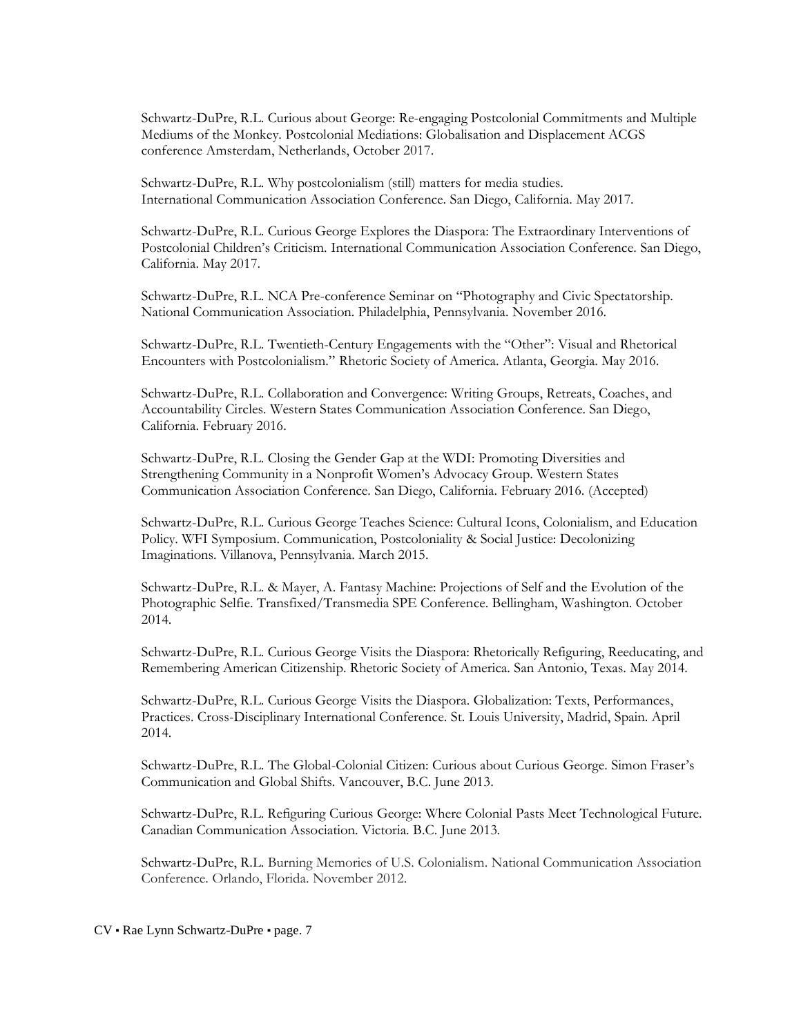Schwartz-DuPre, R.L. Curious about George: Re-engaging Postcolonial Commitments and Multiple Mediums of the Monkey. Postcolonial Mediations: Globalisation and Displacement ACGS conference Amsterdam, Netherlands, October 2017.

Schwartz-DuPre, R.L. Why postcolonialism (still) matters for media studies. International Communication Association Conference. San Diego, California. May 2017.

Schwartz-DuPre, R.L. Curious George Explores the Diaspora: The Extraordinary Interventions of Postcolonial Children's Criticism. International Communication Association Conference. San Diego, California. May 2017.

Schwartz-DuPre, R.L. NCA Pre-conference Seminar on "Photography and Civic Spectatorship. National Communication Association. Philadelphia, Pennsylvania. November 2016.

Schwartz-DuPre, R.L. Twentieth-Century Engagements with the "Other": Visual and Rhetorical Encounters with Postcolonialism." Rhetoric Society of America. Atlanta, Georgia. May 2016.

Schwartz-DuPre, R.L. Collaboration and Convergence: Writing Groups, Retreats, Coaches, and Accountability Circles. Western States Communication Association Conference. San Diego, California. February 2016.

Schwartz-DuPre, R.L. Closing the Gender Gap at the WDI: Promoting Diversities and Strengthening Community in a Nonprofit Women's Advocacy Group. Western States Communication Association Conference. San Diego, California. February 2016. (Accepted)

Schwartz-DuPre, R.L. Curious George Teaches Science: Cultural Icons, Colonialism, and Education Policy. WFI Symposium. Communication, Postcoloniality & Social Justice: Decolonizing Imaginations. Villanova, Pennsylvania. March 2015.

Schwartz-DuPre, R.L. & Mayer, A. Fantasy Machine: Projections of Self and the Evolution of the Photographic Selfie. Transfixed/Transmedia SPE Conference. Bellingham, Washington. October 2014.

Schwartz-DuPre, R.L. Curious George Visits the Diaspora: Rhetorically Refiguring, Reeducating, and Remembering American Citizenship. Rhetoric Society of America. San Antonio, Texas. May 2014.

Schwartz-DuPre, R.L. Curious George Visits the Diaspora. Globalization: Texts, Performances, Practices. Cross-Disciplinary International Conference. St. Louis University, Madrid, Spain. April 2014.

Schwartz-DuPre, R.L. The Global-Colonial Citizen: Curious about Curious George. Simon Fraser's Communication and Global Shifts. Vancouver, B.C. June 2013.

Schwartz-DuPre, R.L. Refiguring Curious George: Where Colonial Pasts Meet Technological Future. Canadian Communication Association. Victoria. B.C. June 2013.

Schwartz-DuPre, R.L. Burning Memories of U.S. Colonialism. National Communication Association Conference. Orlando, Florida. November 2012.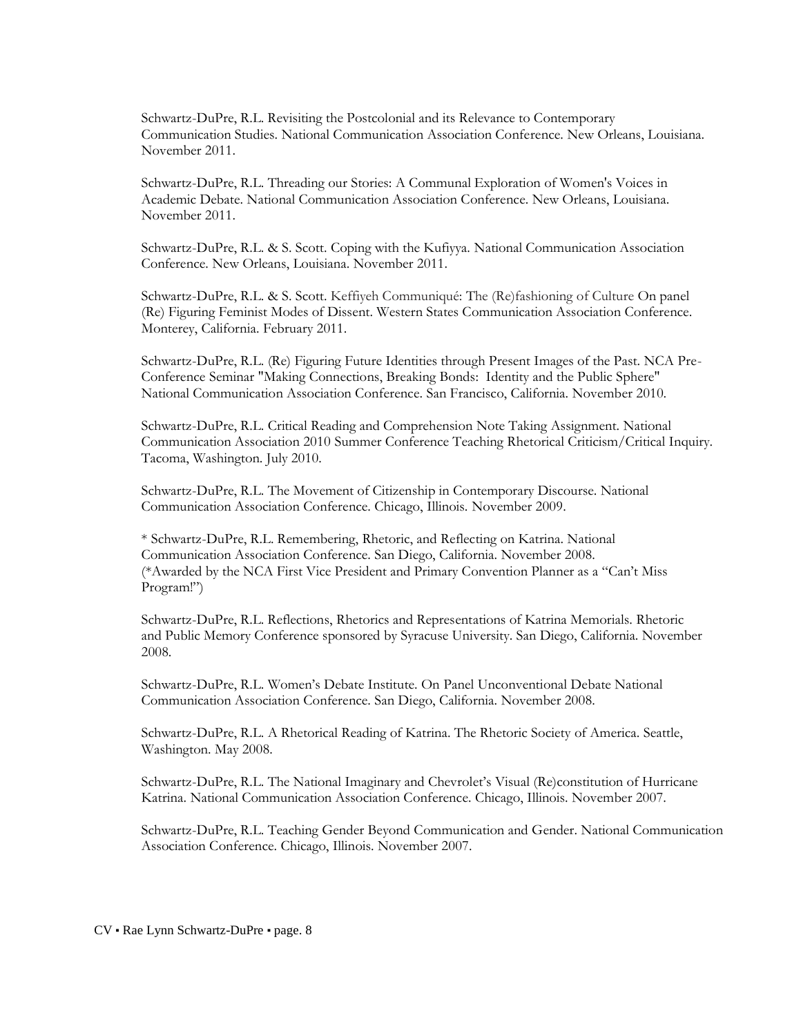Schwartz-DuPre, R.L. Revisiting the Postcolonial and its Relevance to Contemporary Communication Studies. National Communication Association Conference. New Orleans, Louisiana. November 2011.

Schwartz-DuPre, R.L. Threading our Stories: A Communal Exploration of Women's Voices in Academic Debate. National Communication Association Conference. New Orleans, Louisiana. November 2011.

Schwartz-DuPre, R.L. & S. Scott. Coping with the Kufiyya. National Communication Association Conference. New Orleans, Louisiana. November 2011.

Schwartz-DuPre, R.L. & S. Scott. Keffiyeh Communiqué: The (Re)fashioning of Culture On panel (Re) Figuring Feminist Modes of Dissent. Western States Communication Association Conference. Monterey, California. February 2011.

Schwartz-DuPre, R.L. (Re) Figuring Future Identities through Present Images of the Past. NCA Pre-Conference Seminar "Making Connections, Breaking Bonds: Identity and the Public Sphere" National Communication Association Conference. San Francisco, California. November 2010.

Schwartz-DuPre, R.L. Critical Reading and Comprehension Note Taking Assignment. National Communication Association 2010 Summer Conference Teaching Rhetorical Criticism/Critical Inquiry. Tacoma, Washington. July 2010.

Schwartz-DuPre, R.L. The Movement of Citizenship in Contemporary Discourse. National Communication Association Conference. Chicago, Illinois. November 2009.

\* Schwartz-DuPre, R.L. Remembering, Rhetoric, and Reflecting on Katrina. National Communication Association Conference. San Diego, California. November 2008. (\*Awarded by the NCA First Vice President and Primary Convention Planner as a "Can't Miss Program!")

Schwartz-DuPre, R.L. Reflections, Rhetorics and Representations of Katrina Memorials. Rhetoric and Public Memory Conference sponsored by Syracuse University. San Diego, California. November 2008.

Schwartz-DuPre, R.L. Women's Debate Institute. On Panel Unconventional Debate National Communication Association Conference. San Diego, California. November 2008.

Schwartz-DuPre, R.L. A Rhetorical Reading of Katrina. The Rhetoric Society of America. Seattle, Washington. May 2008.

Schwartz-DuPre, R.L. The National Imaginary and Chevrolet's Visual (Re)constitution of Hurricane Katrina. National Communication Association Conference. Chicago, Illinois. November 2007.

Schwartz-DuPre, R.L. Teaching Gender Beyond Communication and Gender. National Communication Association Conference. Chicago, Illinois. November 2007.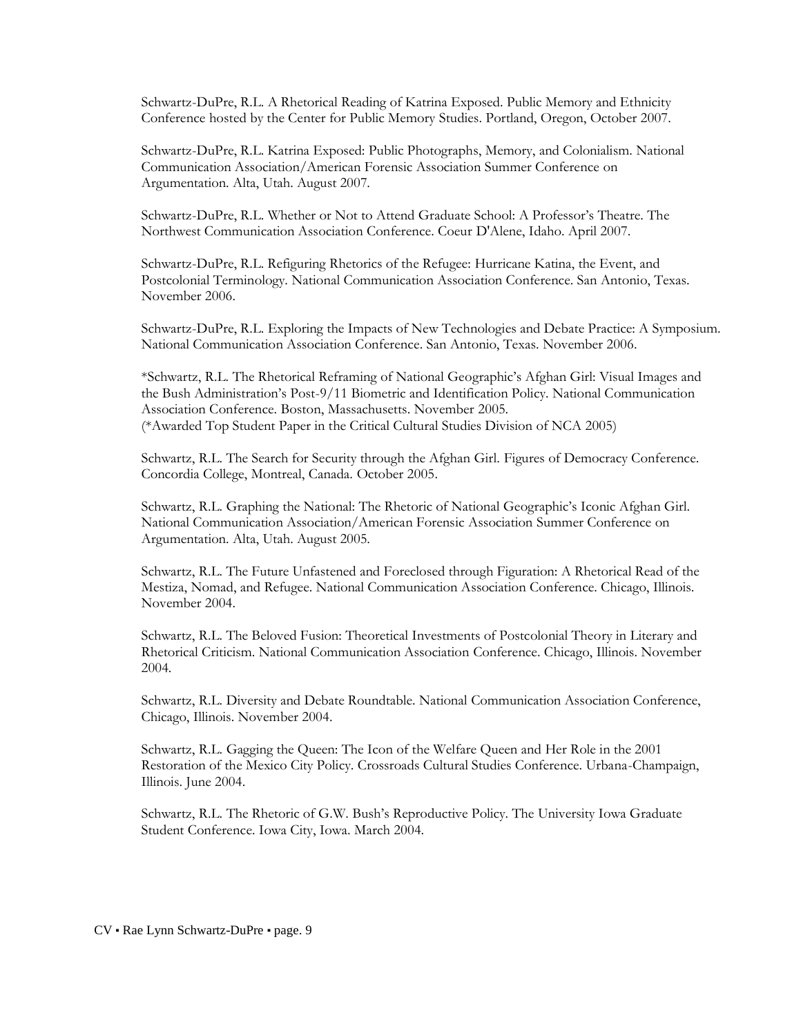Schwartz-DuPre, R.L. A Rhetorical Reading of Katrina Exposed. Public Memory and Ethnicity Conference hosted by the Center for Public Memory Studies. Portland, Oregon, October 2007.

Schwartz-DuPre, R.L. Katrina Exposed: Public Photographs, Memory, and Colonialism. National Communication Association/American Forensic Association Summer Conference on Argumentation. Alta, Utah. August 2007.

Schwartz-DuPre, R.L. Whether or Not to Attend Graduate School: A Professor's Theatre. The Northwest Communication Association Conference. Coeur D'Alene, Idaho. April 2007.

Schwartz-DuPre, R.L. Refiguring Rhetorics of the Refugee: Hurricane Katina, the Event, and Postcolonial Terminology. National Communication Association Conference. San Antonio, Texas. November 2006.

Schwartz-DuPre, R.L. Exploring the Impacts of New Technologies and Debate Practice: A Symposium. National Communication Association Conference. San Antonio, Texas. November 2006.

\*Schwartz, R.L. The Rhetorical Reframing of National Geographic's Afghan Girl: Visual Images and the Bush Administration's Post-9/11 Biometric and Identification Policy. National Communication Association Conference. Boston, Massachusetts. November 2005. (\*Awarded Top Student Paper in the Critical Cultural Studies Division of NCA 2005)

Schwartz, R.L. The Search for Security through the Afghan Girl. Figures of Democracy Conference. Concordia College, Montreal, Canada. October 2005.

Schwartz, R.L. Graphing the National: The Rhetoric of National Geographic's Iconic Afghan Girl. National Communication Association/American Forensic Association Summer Conference on Argumentation. Alta, Utah. August 2005.

Schwartz, R.L. The Future Unfastened and Foreclosed through Figuration: A Rhetorical Read of the Mestiza, Nomad, and Refugee. National Communication Association Conference. Chicago, Illinois. November 2004.

Schwartz, R.L. The Beloved Fusion: Theoretical Investments of Postcolonial Theory in Literary and Rhetorical Criticism. National Communication Association Conference. Chicago, Illinois. November 2004.

Schwartz, R.L. Diversity and Debate Roundtable. National Communication Association Conference, Chicago, Illinois. November 2004.

Schwartz, R.L. Gagging the Queen: The Icon of the Welfare Queen and Her Role in the 2001 Restoration of the Mexico City Policy. Crossroads Cultural Studies Conference. Urbana-Champaign, Illinois. June 2004.

Schwartz, R.L. The Rhetoric of G.W. Bush's Reproductive Policy. The University Iowa Graduate Student Conference. Iowa City, Iowa. March 2004.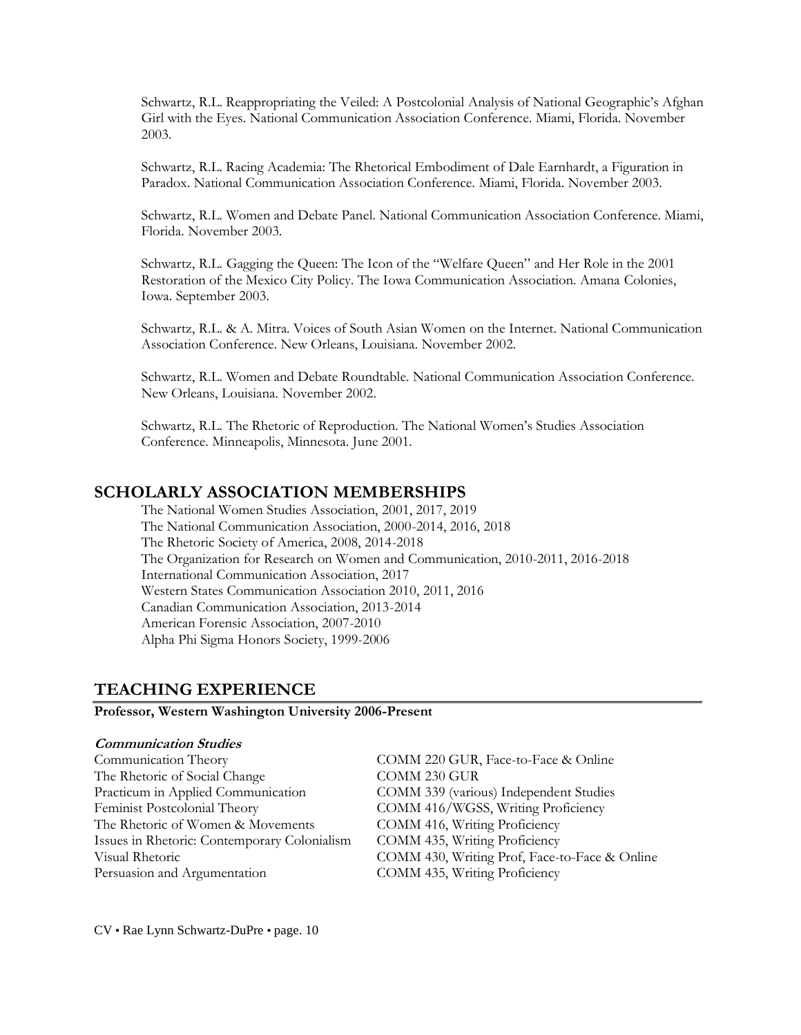Schwartz, R.L. Reappropriating the Veiled: A Postcolonial Analysis of National Geographic's Afghan Girl with the Eyes. National Communication Association Conference. Miami, Florida. November 2003.

Schwartz, R.L. Racing Academia: The Rhetorical Embodiment of Dale Earnhardt, a Figuration in Paradox. National Communication Association Conference. Miami, Florida. November 2003.

Schwartz, R.L. Women and Debate Panel. National Communication Association Conference. Miami, Florida. November 2003.

Schwartz, R.L. Gagging the Queen: The Icon of the "Welfare Queen" and Her Role in the 2001 Restoration of the Mexico City Policy. The Iowa Communication Association. Amana Colonies, Iowa. September 2003.

Schwartz, R.L. & A. Mitra. Voices of South Asian Women on the Internet. National Communication Association Conference. New Orleans, Louisiana. November 2002.

Schwartz, R.L. Women and Debate Roundtable. National Communication Association Conference. New Orleans, Louisiana. November 2002.

Schwartz, R.L. The Rhetoric of Reproduction. The National Women's Studies Association Conference. Minneapolis, Minnesota. June 2001.

## **SCHOLARLY ASSOCIATION MEMBERSHIPS**

The National Women Studies Association, 2001, 2017, 2019 The National Communication Association, 2000-2014, 2016, 2018 The Rhetoric Society of America, 2008, 2014-2018 The Organization for Research on Women and Communication, 2010-2011, 2016-2018 International Communication Association, 2017 Western States Communication Association 2010, 2011, 2016 Canadian Communication Association, 2013-2014 American Forensic Association, 2007-2010 Alpha Phi Sigma Honors Society, 1999-2006

## **TEACHING EXPERIENCE**

**Professor, Western Washington University 2006-Present**

#### **Communication Studies**

| Communication Theory                         | COMM 220 GUR, Face-to-Face & Online           |
|----------------------------------------------|-----------------------------------------------|
| The Rhetoric of Social Change                | COMM 230 GUR                                  |
| Practicum in Applied Communication           | COMM 339 (various) Independent Studies        |
| Feminist Postcolonial Theory                 | COMM 416/WGSS, Writing Proficiency            |
| The Rhetoric of Women & Movements            | COMM 416, Writing Proficiency                 |
| Issues in Rhetoric: Contemporary Colonialism | COMM 435, Writing Proficiency                 |
| Visual Rhetoric                              | COMM 430, Writing Prof, Face-to-Face & Online |
| Persuasion and Argumentation                 | COMM 435, Writing Proficiency                 |

CV ▪ Rae Lynn Schwartz-DuPre ▪ page. 10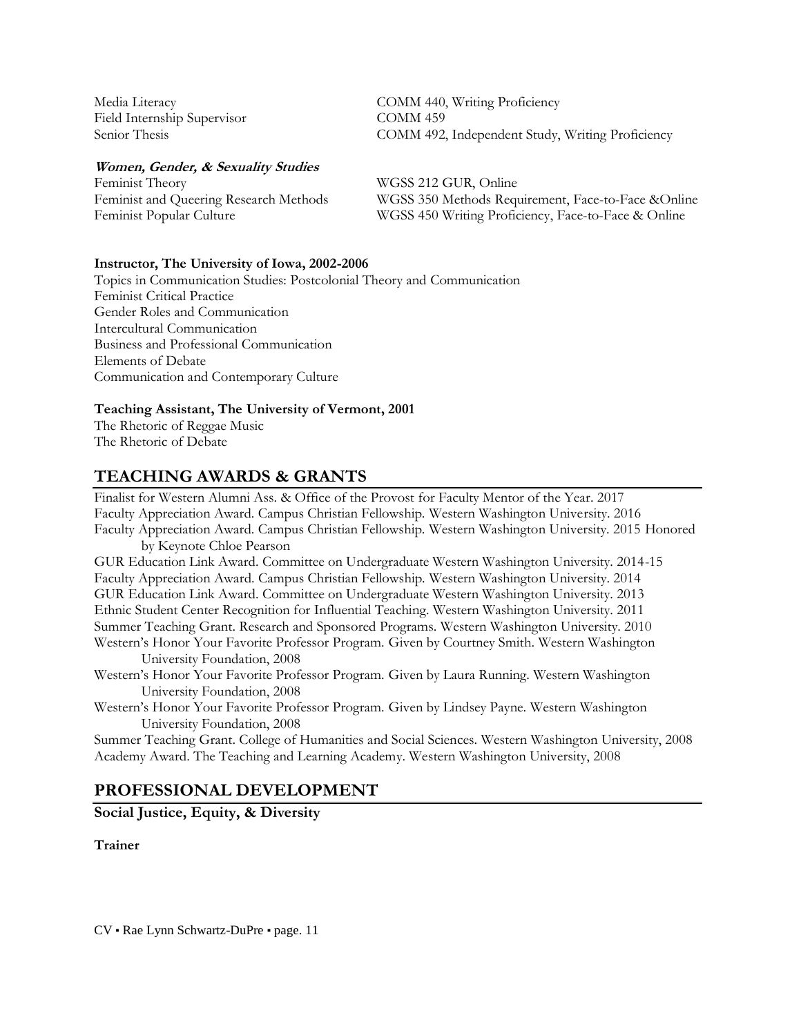Field Internship Supervisor COMM 459

#### **Women, Gender, & Sexuality Studies**

Feminist Theory WGSS 212 GUR, Online

Media Literacy COMM 440, Writing Proficiency Senior Thesis COMM 492, Independent Study, Writing Proficiency

Feminist and Queering Research Methods WGSS 350 Methods Requirement, Face-to-Face &Online Feminist Popular Culture WGSS 450 Writing Proficiency, Face-to-Face & Online

#### **Instructor, The University of Iowa, 2002-2006**

Topics in Communication Studies: Postcolonial Theory and Communication Feminist Critical Practice Gender Roles and Communication Intercultural Communication Business and Professional Communication Elements of Debate Communication and Contemporary Culture

#### **Teaching Assistant, The University of Vermont, 2001**

The Rhetoric of Reggae Music The Rhetoric of Debate

## **TEACHING AWARDS & GRANTS**

Finalist for Western Alumni Ass. & Office of the Provost for Faculty Mentor of the Year. 2017 Faculty Appreciation Award. Campus Christian Fellowship. Western Washington University. 2016 Faculty Appreciation Award. Campus Christian Fellowship. Western Washington University. 2015 Honored by Keynote Chloe Pearson GUR Education Link Award. Committee on Undergraduate Western Washington University. 2014-15 Faculty Appreciation Award. Campus Christian Fellowship. Western Washington University. 2014 GUR Education Link Award. Committee on Undergraduate Western Washington University. 2013 Ethnic Student Center Recognition for Influential Teaching. Western Washington University. 2011 Summer Teaching Grant. Research and Sponsored Programs. Western Washington University. 2010 Western's Honor Your Favorite Professor Program. Given by Courtney Smith. Western Washington University Foundation, 2008 Western's Honor Your Favorite Professor Program. Given by Laura Running. Western Washington University Foundation, 2008 Western's Honor Your Favorite Professor Program. Given by Lindsey Payne. Western Washington University Foundation, 2008

Summer Teaching Grant. College of Humanities and Social Sciences. Western Washington University, 2008 Academy Award. The Teaching and Learning Academy. Western Washington University, 2008

## **PROFESSIONAL DEVELOPMENT**

**Social Justice, Equity, & Diversity**

### **Trainer**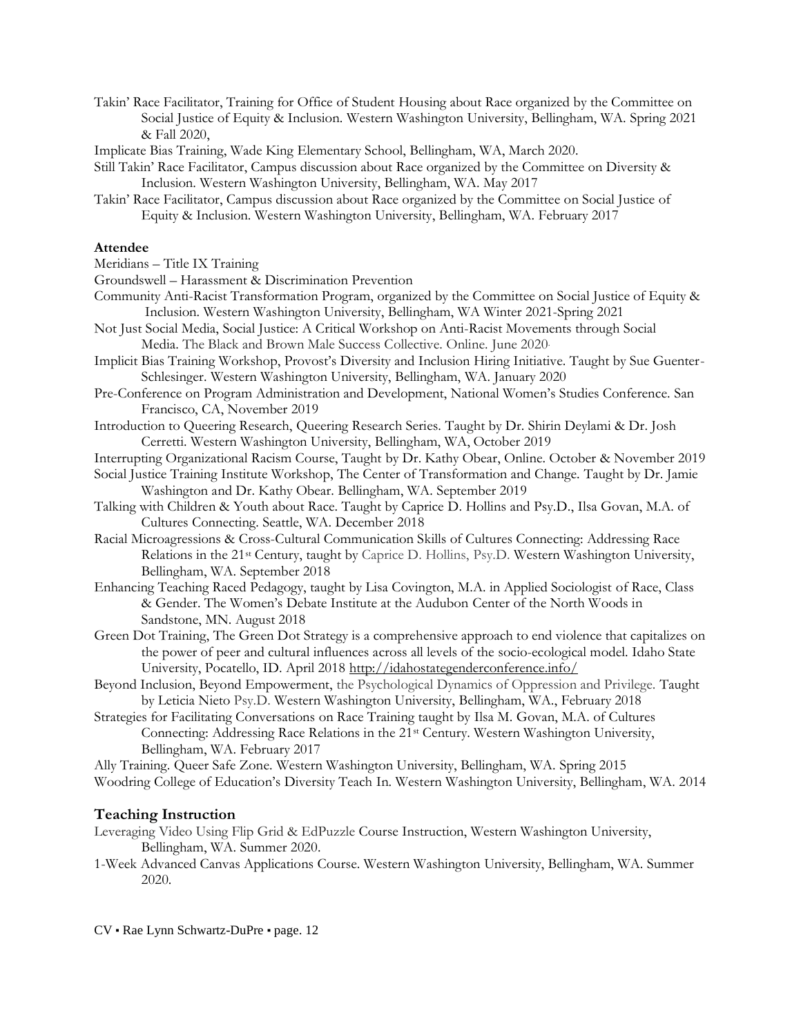- Takin' Race Facilitator, Training for Office of Student Housing about Race organized by the Committee on Social Justice of Equity & Inclusion. Western Washington University, Bellingham, WA. Spring 2021 & Fall 2020,
- Implicate Bias Training, Wade King Elementary School, Bellingham, WA, March 2020.
- Still Takin' Race Facilitator, Campus discussion about Race organized by the Committee on Diversity & Inclusion. Western Washington University, Bellingham, WA. May 2017
- Takin' Race Facilitator, Campus discussion about Race organized by the Committee on Social Justice of Equity & Inclusion. Western Washington University, Bellingham, WA. February 2017

#### **Attendee**

Meridians – Title IX Training

Groundswell – Harassment & Discrimination Prevention

- Community Anti-Racist Transformation Program, organized by the Committee on Social Justice of Equity & Inclusion. Western Washington University, Bellingham, WA Winter 2021-Spring 2021
- Not Just Social Media, Social Justice: A Critical Workshop on Anti-Racist Movements through Social Media. The Black and Brown Male Success Collective. Online. June 2020.
- Implicit Bias Training Workshop, Provost's Diversity and Inclusion Hiring Initiative. Taught by Sue Guenter-Schlesinger. Western Washington University, Bellingham, WA. January 2020
- Pre-Conference on Program Administration and Development, National Women's Studies Conference. San Francisco, CA, November 2019
- Introduction to Queering Research, Queering Research Series. Taught by Dr. Shirin Deylami & Dr. Josh Cerretti. Western Washington University, Bellingham, WA, October 2019
- Interrupting Organizational Racism Course, Taught by Dr. Kathy Obear, Online. October & November 2019
- Social Justice Training Institute Workshop, The Center of Transformation and Change. Taught by Dr. Jamie Washington and Dr. Kathy Obear. Bellingham, WA. September 2019
- Talking with Children & Youth about Race. Taught by Caprice D. Hollins and Psy.D., Ilsa Govan, M.A. of Cultures Connecting. Seattle, WA. December 2018
- Racial Microagressions & Cross-Cultural Communication Skills of Cultures Connecting: Addressing Race Relations in the 21st Century, taught by Caprice D. Hollins, Psy.D. Western Washington University, Bellingham, WA. September 2018
- Enhancing Teaching Raced Pedagogy, taught by Lisa Covington, M.A. in Applied Sociologist of Race, Class & Gender. The Women's Debate Institute at the Audubon Center of the North Woods in Sandstone, MN. August 2018
- Green Dot Training, The Green Dot Strategy is a comprehensive approach to end violence that capitalizes on the power of peer and cultural influences across all levels of the socio-ecological model. Idaho State University, Pocatello, ID. April 201[8 http://idahostategenderconference.info/](http://idahostategenderconference.info/)
- Beyond Inclusion, Beyond Empowerment, the Psychological Dynamics of Oppression and Privilege. Taught by Leticia Nieto Psy.D. Western Washington University, Bellingham, WA., February 2018
- Strategies for Facilitating Conversations on Race Training taught by Ilsa M. Govan, M.A. of Cultures Connecting: Addressing Race Relations in the 21st Century. Western Washington University, Bellingham, WA. February 2017

Ally Training. Queer Safe Zone. Western Washington University, Bellingham, WA. Spring 2015

Woodring College of Education's Diversity Teach In. Western Washington University, Bellingham, WA. 2014

## **Teaching Instruction**

- Leveraging Video Using Flip Grid & EdPuzzle Course Instruction, Western Washington University, Bellingham, WA. Summer 2020.
- 1-Week Advanced Canvas Applications Course. Western Washington University, Bellingham, WA. Summer 2020.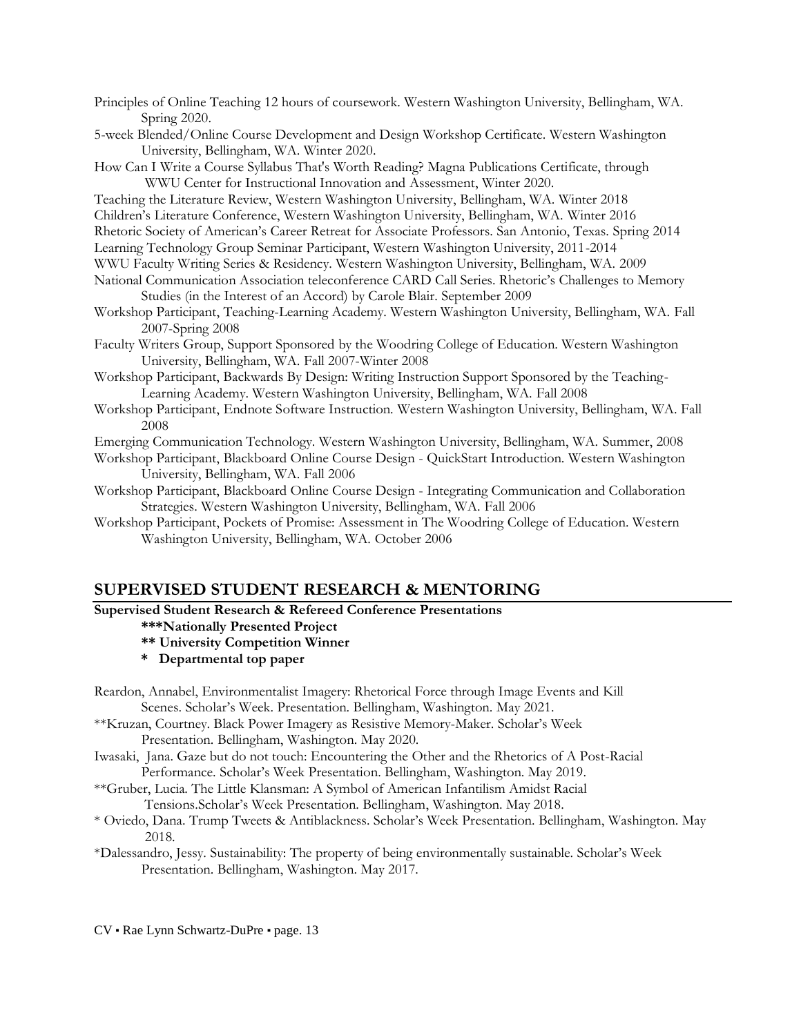- Principles of Online Teaching 12 hours of coursework. Western Washington University, Bellingham, WA. Spring 2020.
- 5-week Blended/Online Course Development and Design Workshop Certificate. Western Washington University, Bellingham, WA. Winter 2020.
- How Can I Write a Course Syllabus That's Worth Reading? Magna Publications Certificate, through WWU Center for Instructional Innovation and Assessment, Winter 2020.
- Teaching the Literature Review, Western Washington University, Bellingham, WA. Winter 2018
- Children's Literature Conference, Western Washington University, Bellingham, WA. Winter 2016
- Rhetoric Society of American's Career Retreat for Associate Professors. San Antonio, Texas. Spring 2014
- Learning Technology Group Seminar Participant, Western Washington University, 2011-2014
- WWU Faculty Writing Series & Residency. Western Washington University, Bellingham, WA. 2009
- National Communication Association teleconference CARD Call Series. Rhetoric's Challenges to Memory Studies (in the Interest of an Accord) by Carole Blair. September 2009
- Workshop Participant, Teaching-Learning Academy. Western Washington University, Bellingham, WA. Fall 2007-Spring 2008
- Faculty Writers Group, Support Sponsored by the Woodring College of Education. Western Washington University, Bellingham, WA. Fall 2007-Winter 2008
- Workshop Participant, Backwards By Design: Writing Instruction Support Sponsored by the Teaching-Learning Academy. Western Washington University, Bellingham, WA. Fall 2008
- Workshop Participant, Endnote Software Instruction. Western Washington University, Bellingham, WA. Fall 2008
- Emerging Communication Technology. Western Washington University, Bellingham, WA. Summer, 2008
- Workshop Participant, Blackboard Online Course Design QuickStart Introduction. Western Washington University, Bellingham, WA. Fall 2006
- Workshop Participant, Blackboard Online Course Design Integrating Communication and Collaboration Strategies. Western Washington University, Bellingham, WA. Fall 2006
- Workshop Participant, Pockets of Promise: Assessment in The Woodring College of Education. Western Washington University, Bellingham, WA. October 2006

## **SUPERVISED STUDENT RESEARCH & MENTORING**

#### **Supervised Student Research & Refereed Conference Presentations**

- **\*\*\*Nationally Presented Project**
- **\*\* University Competition Winner**
- **\* Departmental top paper**
- Reardon, Annabel, Environmentalist Imagery: Rhetorical Force through Image Events and Kill Scenes. Scholar's Week. Presentation. Bellingham, Washington. May 2021.
- \*\*Kruzan, Courtney. Black Power Imagery as Resistive Memory-Maker. Scholar's Week Presentation. Bellingham, Washington. May 2020.
- Iwasaki, Jana. Gaze but do not touch: Encountering the Other and the Rhetorics of A Post-Racial Performance. Scholar's Week Presentation. Bellingham, Washington. May 2019.
- \*\*Gruber, Lucia. The Little Klansman: A Symbol of American Infantilism Amidst Racial Tensions.Scholar's Week Presentation. Bellingham, Washington. May 2018.
- \* Oviedo, Dana. Trump Tweets & Antiblackness. Scholar's Week Presentation. Bellingham, Washington. May 2018.
- \*Dalessandro, Jessy. Sustainability: The property of being environmentally sustainable. Scholar's Week Presentation. Bellingham, Washington. May 2017.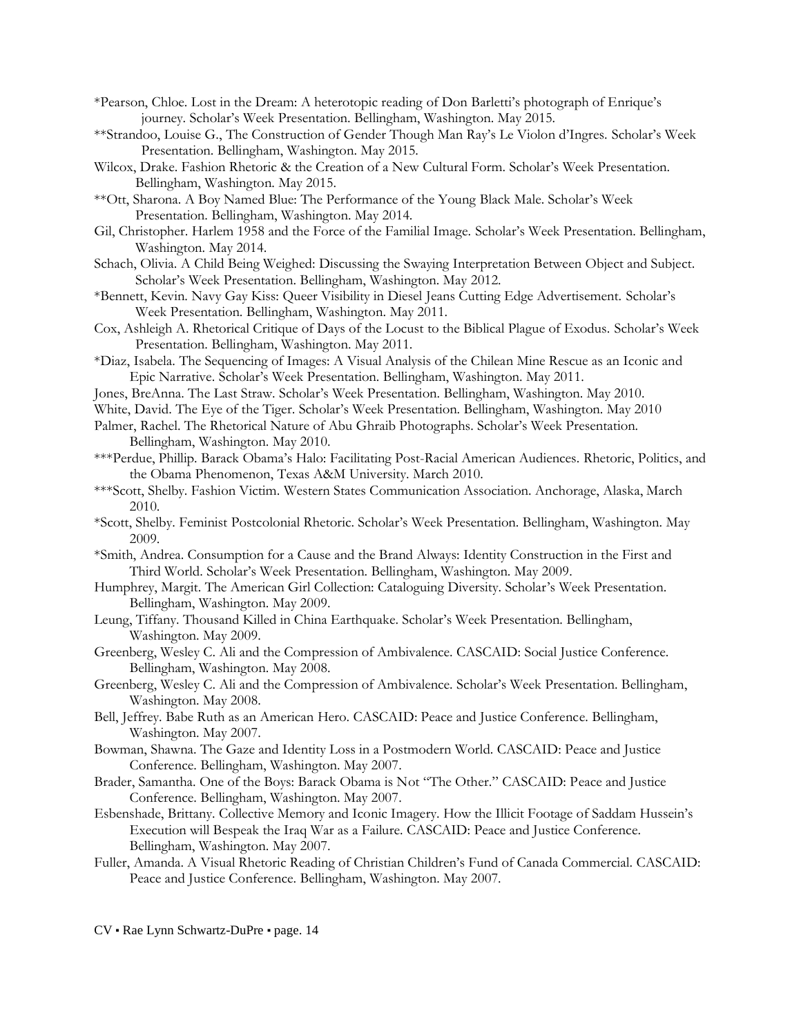- \*Pearson, Chloe. Lost in the Dream: A heterotopic reading of Don Barletti's photograph of Enrique's journey. Scholar's Week Presentation. Bellingham, Washington. May 2015.
- \*\*Strandoo, Louise G., The Construction of Gender Though Man Ray's Le Violon d'Ingres. Scholar's Week Presentation. Bellingham, Washington. May 2015.
- Wilcox, Drake. Fashion Rhetoric & the Creation of a New Cultural Form. Scholar's Week Presentation. Bellingham, Washington. May 2015.
- \*\*Ott, Sharona. A Boy Named Blue: The Performance of the Young Black Male. Scholar's Week Presentation. Bellingham, Washington. May 2014.
- Gil, Christopher. Harlem 1958 and the Force of the Familial Image. Scholar's Week Presentation. Bellingham, Washington. May 2014.
- Schach, Olivia. A Child Being Weighed: Discussing the Swaying Interpretation Between Object and Subject. Scholar's Week Presentation. Bellingham, Washington. May 2012.
- \*Bennett, Kevin. Navy Gay Kiss: Queer Visibility in Diesel Jeans Cutting Edge Advertisement. Scholar's Week Presentation. Bellingham, Washington. May 2011.
- Cox, Ashleigh A. Rhetorical Critique of Days of the Locust to the Biblical Plague of Exodus. Scholar's Week Presentation. Bellingham, Washington. May 2011.
- \*Diaz, Isabela. The Sequencing of Images: A Visual Analysis of the Chilean Mine Rescue as an Iconic and Epic Narrative. Scholar's Week Presentation. Bellingham, Washington. May 2011.
- Jones, BreAnna. The Last Straw. Scholar's Week Presentation. Bellingham, Washington. May 2010.
- White, David. The Eye of the Tiger. Scholar's Week Presentation. Bellingham, Washington. May 2010
- Palmer, Rachel. The Rhetorical Nature of Abu Ghraib Photographs. Scholar's Week Presentation. Bellingham, Washington. May 2010.
- \*\*\*Perdue, Phillip. Barack Obama's Halo: Facilitating Post-Racial American Audiences. Rhetoric, Politics, and the Obama Phenomenon, Texas A&M University. March 2010.
- \*\*\*Scott, Shelby. Fashion Victim. Western States Communication Association. Anchorage, Alaska, March 2010.
- \*Scott, Shelby. Feminist Postcolonial Rhetoric. Scholar's Week Presentation. Bellingham, Washington. May 2009.
- \*Smith, Andrea. Consumption for a Cause and the Brand Always: Identity Construction in the First and Third World. Scholar's Week Presentation. Bellingham, Washington. May 2009.
- Humphrey, Margit. The American Girl Collection: Cataloguing Diversity. Scholar's Week Presentation. Bellingham, Washington. May 2009.
- Leung, Tiffany. Thousand Killed in China Earthquake. Scholar's Week Presentation. Bellingham, Washington. May 2009.
- Greenberg, Wesley C. Ali and the Compression of Ambivalence. CASCAID: Social Justice Conference. Bellingham, Washington. May 2008.
- Greenberg, Wesley C. Ali and the Compression of Ambivalence. Scholar's Week Presentation. Bellingham, Washington. May 2008.
- Bell, Jeffrey. Babe Ruth as an American Hero. CASCAID: Peace and Justice Conference. Bellingham, Washington. May 2007.
- Bowman, Shawna. The Gaze and Identity Loss in a Postmodern World. CASCAID: Peace and Justice Conference. Bellingham, Washington. May 2007.
- Brader, Samantha. One of the Boys: Barack Obama is Not "The Other." CASCAID: Peace and Justice Conference. Bellingham, Washington. May 2007.
- Esbenshade, Brittany. Collective Memory and Iconic Imagery. How the Illicit Footage of Saddam Hussein's Execution will Bespeak the Iraq War as a Failure. CASCAID: Peace and Justice Conference. Bellingham, Washington. May 2007.
- Fuller, Amanda. A Visual Rhetoric Reading of Christian Children's Fund of Canada Commercial. CASCAID: Peace and Justice Conference. Bellingham, Washington. May 2007.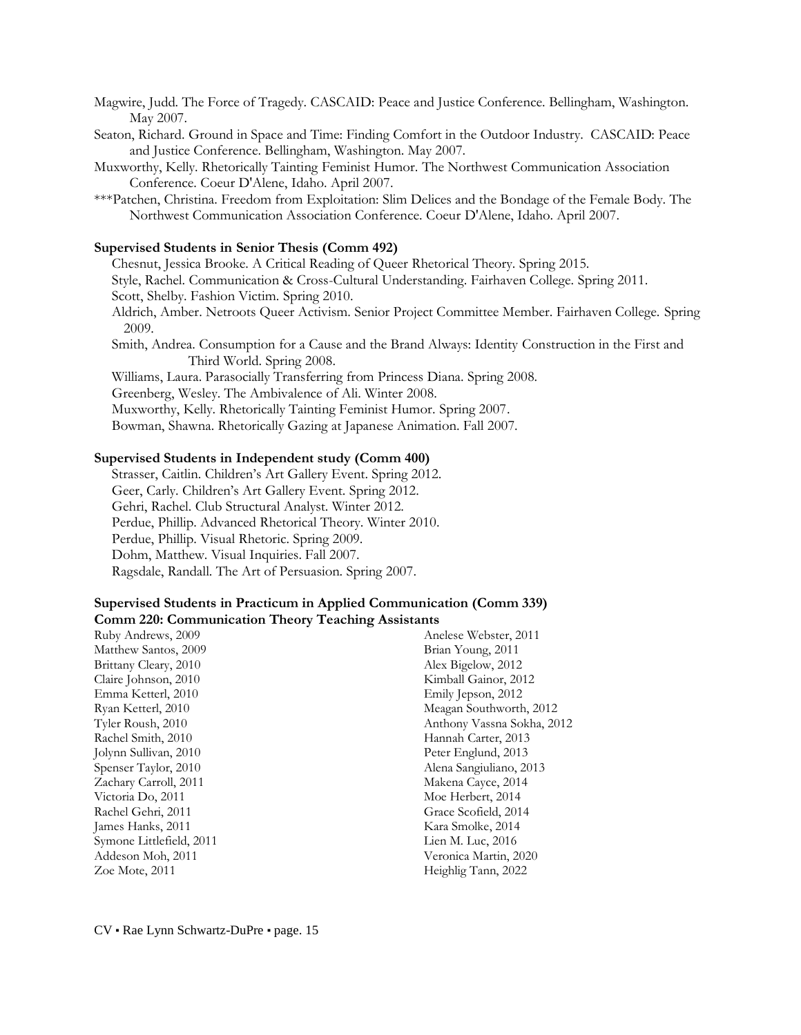Magwire, Judd. The Force of Tragedy. CASCAID: Peace and Justice Conference. Bellingham, Washington. May 2007.

- Seaton, Richard. Ground in Space and Time: Finding Comfort in the Outdoor Industry. CASCAID: Peace and Justice Conference. Bellingham, Washington. May 2007.
- Muxworthy, Kelly. Rhetorically Tainting Feminist Humor. The Northwest Communication Association Conference. Coeur D'Alene, Idaho. April 2007.
- \*\*\*Patchen, Christina. Freedom from Exploitation: Slim Delices and the Bondage of the Female Body. The Northwest Communication Association Conference. Coeur D'Alene, Idaho. April 2007.

#### **Supervised Students in Senior Thesis (Comm 492)**

Chesnut, Jessica Brooke. A Critical Reading of Queer Rhetorical Theory. Spring 2015.

Style, Rachel. Communication & Cross-Cultural Understanding. Fairhaven College. Spring 2011.

- Scott, Shelby. Fashion Victim. Spring 2010.
- Aldrich, Amber. Netroots Queer Activism. Senior Project Committee Member. Fairhaven College. Spring 2009.

2012

- Smith, Andrea. Consumption for a Cause and the Brand Always: Identity Construction in the First and Third World. Spring 2008.
- Williams, Laura. Parasocially Transferring from Princess Diana. Spring 2008.
- Greenberg, Wesley. The Ambivalence of Ali. Winter 2008.
- Muxworthy, Kelly. Rhetorically Tainting Feminist Humor. Spring 2007.

Bowman, Shawna. Rhetorically Gazing at Japanese Animation. Fall 2007.

#### **Supervised Students in Independent study (Comm 400)**

Strasser, Caitlin. Children's Art Gallery Event. Spring 2012. Geer, Carly. Children's Art Gallery Event. Spring 2012. Gehri, Rachel. Club Structural Analyst. Winter 2012. Perdue, Phillip. Advanced Rhetorical Theory. Winter 2010. Perdue, Phillip. Visual Rhetoric. Spring 2009. Dohm, Matthew. Visual Inquiries. Fall 2007. Ragsdale, Randall. The Art of Persuasion. Spring 2007.

#### **Supervised Students in Practicum in Applied Communication (Comm 339) Comm 220: Communication Theory Teaching Assistants**

| Ruby Andrews, 2009       | Anelese Webster, 2011    |
|--------------------------|--------------------------|
| Matthew Santos, 2009     | Brian Young, 2011        |
| Brittany Cleary, 2010    | Alex Bigelow, 2012       |
| Claire Johnson, 2010     | Kimball Gainor, 2012     |
| Emma Ketterl, 2010       | Emily Jepson, 2012       |
| Ryan Ketterl, 2010       | Meagan Southworth, 2012  |
| Tyler Roush, 2010        | Anthony Vassna Sokha, 20 |
| Rachel Smith, 2010       | Hannah Carter, 2013      |
| Jolynn Sullivan, 2010    | Peter Englund, 2013      |
| Spenser Taylor, 2010     | Alena Sangiuliano, 2013  |
| Zachary Carroll, 2011    | Makena Cayce, 2014       |
| Victoria Do, 2011        | Moe Herbert, 2014        |
| Rachel Gehri, 2011       | Grace Scofield, 2014     |
| James Hanks, 2011        | Kara Smolke, 2014        |
| Symone Littlefield, 2011 | Lien M. Luc, 2016        |
| Addeson Moh, 2011        | Veronica Martin, 2020    |
| Zoe Mote, 2011           | Heighlig Tann, 2022      |
|                          |                          |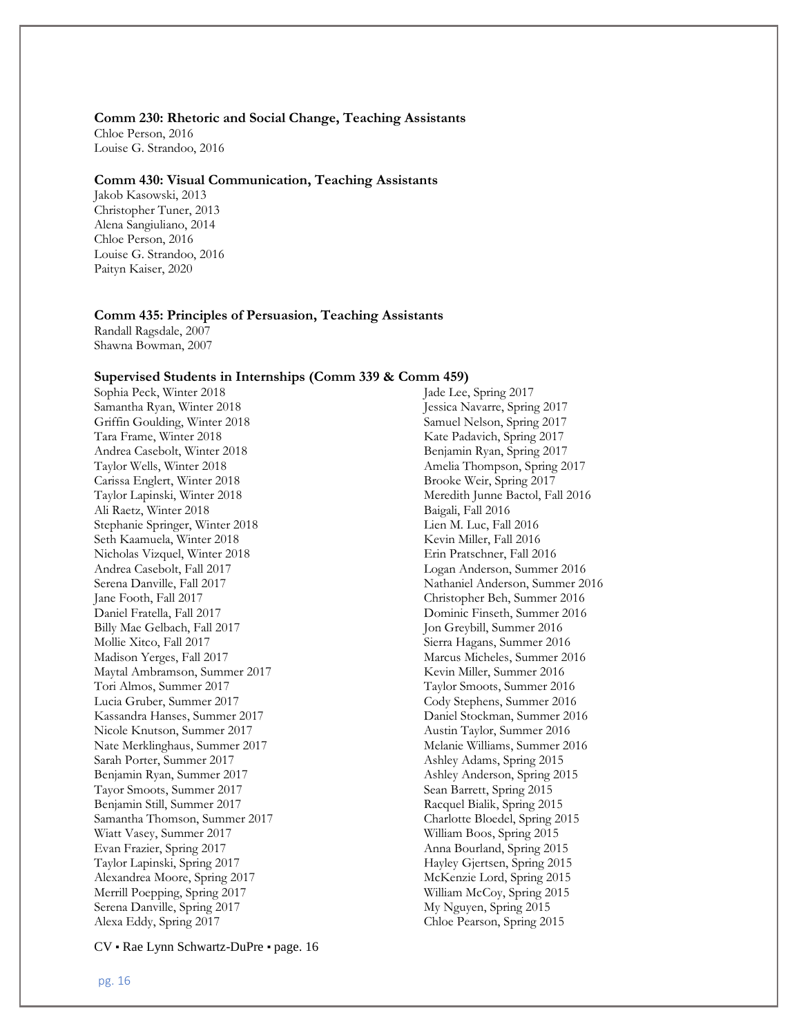#### **Comm 230: Rhetoric and Social Change, Teaching Assistants**

Chloe Person, 2016 Louise G. Strandoo, 2016

#### **Comm 430: Visual Communication, Teaching Assistants**

Jakob Kasowski, 2013 Christopher Tuner, 2013 Alena Sangiuliano, 2014 Chloe Person, 2016 Louise G. Strandoo, 2016 Paityn Kaiser, 2020

#### **Comm 435: Principles of Persuasion, Teaching Assistants**

Randall Ragsdale, 2007 Shawna Bowman, 2007

#### **Supervised Students in Internships (Comm 339 & Comm 459)**

Sophia Peck, Winter 2018 Samantha Ryan, Winter 2018 Griffin Goulding, Winter 2018 Tara Frame, Winter 2018 Andrea Casebolt, Winter 2018 Taylor Wells, Winter 2018 Carissa Englert, Winter 2018 Taylor Lapinski, Winter 2018 Ali Raetz, Winter 2018 Stephanie Springer, Winter 2018 Seth Kaamuela, Winter 2018 Nicholas Vizquel, Winter 2018 Andrea Casebolt, Fall 2017 Serena Danville, Fall 2017 Jane Footh, Fall 2017 Daniel Fratella, Fall 2017 Billy Mae Gelbach, Fall 2017 Mollie Xitco, Fall 2017 Madison Yerges, Fall 2017 Maytal Ambramson, Summer 2017 Tori Almos, Summer 2017 Lucia Gruber, Summer 2017 Kassandra Hanses, Summer 2017 Nicole Knutson, Summer 2017 Nate Merklinghaus, Summer 2017 Sarah Porter, Summer 2017 Benjamin Ryan, Summer 2017 Tayor Smoots, Summer 2017 Benjamin Still, Summer 2017 Samantha Thomson, Summer 2017 Wiatt Vasey, Summer 2017 Evan Frazier, Spring 2017 Taylor Lapinski, Spring 2017 Alexandrea Moore, Spring 2017 Merrill Poepping, Spring 2017 Serena Danville, Spring 2017 Alexa Eddy, Spring 2017

Jade Lee, Spring 2017 Jessica Navarre, Spring 2017 Samuel Nelson, Spring 2017 Kate Padavich, Spring 2017 Benjamin Ryan, Spring 2017 Amelia Thompson, Spring 2017 Brooke Weir, Spring 2017 Meredith Junne Bactol, Fall 2016 Baigali, Fall 2016 Lien M. Luc, Fall 2016 Kevin Miller, Fall 2016 Erin Pratschner, Fall 2016 Logan Anderson, Summer 2016 Nathaniel Anderson, Summer 2016 Christopher Beh, Summer 2016 Dominic Finseth, Summer 2016 Jon Greybill, Summer 2016 Sierra Hagans, Summer 2016 Marcus Micheles, Summer 2016 Kevin Miller, Summer 2016 Taylor Smoots, Summer 2016 Cody Stephens, Summer 2016 Daniel Stockman, Summer 2016 Austin Taylor, Summer 2016 Melanie Williams, Summer 2016 Ashley Adams, Spring 2015 Ashley Anderson, Spring 2015 Sean Barrett, Spring 2015 Racquel Bialik, Spring 2015 Charlotte Bloedel, Spring 2015 William Boos, Spring 2015 Anna Bourland, Spring 2015 Hayley Gjertsen, Spring 2015 McKenzie Lord, Spring 2015 William McCoy, Spring 2015 My Nguyen, Spring 2015 Chloe Pearson, Spring 2015

CV ▪ Rae Lynn Schwartz-DuPre ▪ page. 16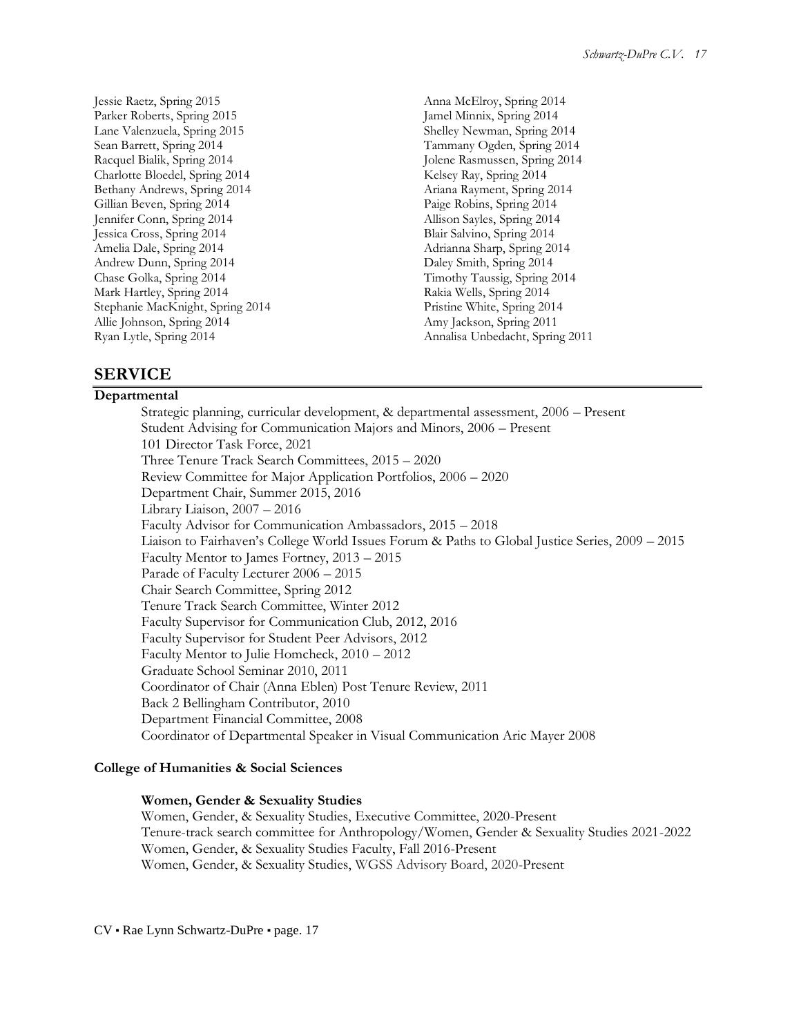Jessie Raetz, Spring 2015 Parker Roberts, Spring 2015 Lane Valenzuela, Spring 2015 Sean Barrett, Spring 2014 Racquel Bialik, Spring 2014 Charlotte Bloedel, Spring 2014 Bethany Andrews, Spring 2014 Gillian Beven, Spring 2014 Jennifer Conn, Spring 2014 Jessica Cross, Spring 2014 Amelia Dale, Spring 2014 Andrew Dunn, Spring 2014 Chase Golka, Spring 2014 Mark Hartley, Spring 2014 Stephanie MacKnight, Spring 2014 Allie Johnson, Spring 2014 Ryan Lytle, Spring 2014

Anna McElroy, Spring 2014 Jamel Minnix, Spring 2014 Shelley Newman, Spring 2014 Tammany Ogden, Spring 2014 Jolene Rasmussen, Spring 2014 Kelsey Ray, Spring 2014 Ariana Rayment, Spring 2014 Paige Robins, Spring 2014 Allison Sayles, Spring 2014 Blair Salvino, Spring 2014 Adrianna Sharp, Spring 2014 Daley Smith, Spring 2014 Timothy Taussig, Spring 2014 Rakia Wells, Spring 2014 Pristine White, Spring 2014 Amy Jackson, Spring 2011 Annalisa Unbedacht, Spring 2011

## **SERVICE**

#### **Departmental**

Strategic planning, curricular development, & departmental assessment, 2006 – Present Student Advising for Communication Majors and Minors, 2006 – Present 101 Director Task Force, 2021 Three Tenure Track Search Committees, 2015 – 2020 Review Committee for Major Application Portfolios, 2006 – 2020 Department Chair, Summer 2015, 2016 Library Liaison, 2007 – 2016 Faculty Advisor for Communication Ambassadors, 2015 – 2018 Liaison to Fairhaven's College World Issues Forum & Paths to Global Justice Series, 2009 – 2015 Faculty Mentor to James Fortney, 2013 – 2015 Parade of Faculty Lecturer 2006 – 2015 Chair Search Committee, Spring 2012 Tenure Track Search Committee, Winter 2012 Faculty Supervisor for Communication Club, 2012, 2016 Faculty Supervisor for Student Peer Advisors, 2012 Faculty Mentor to Julie Homcheck, 2010 – 2012 Graduate School Seminar 2010, 2011 Coordinator of Chair (Anna Eblen) Post Tenure Review, 2011 Back 2 Bellingham Contributor, 2010 Department Financial Committee, 2008 Coordinator of Departmental Speaker in Visual Communication Aric Mayer 2008

#### **College of Humanities & Social Sciences**

#### **Women, Gender & Sexuality Studies**

Women, Gender, & Sexuality Studies, Executive Committee, 2020-Present Tenure-track search committee for Anthropology/Women, Gender & Sexuality Studies 2021-2022 Women, Gender, & Sexuality Studies Faculty, Fall 2016-Present Women, Gender, & Sexuality Studies, WGSS Advisory Board, 2020-Present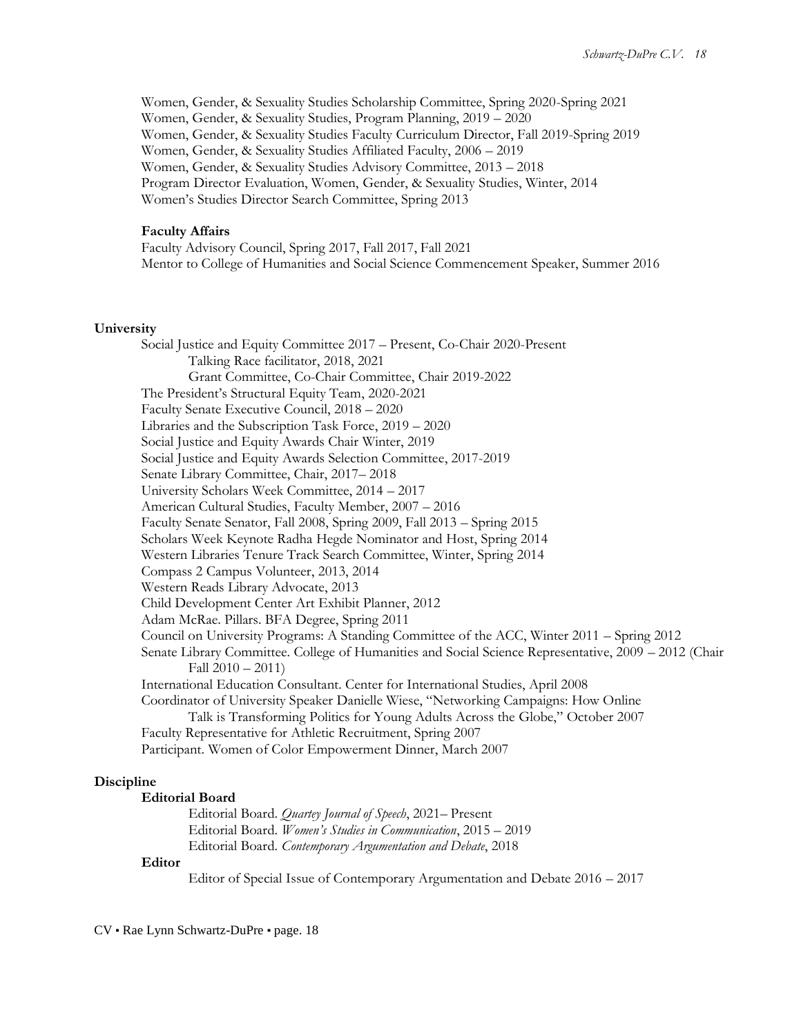Women, Gender, & Sexuality Studies Scholarship Committee, Spring 2020-Spring 2021 Women, Gender, & Sexuality Studies, Program Planning, 2019 – 2020 Women, Gender, & Sexuality Studies Faculty Curriculum Director, Fall 2019-Spring 2019 Women, Gender, & Sexuality Studies Affiliated Faculty, 2006 – 2019 Women, Gender, & Sexuality Studies Advisory Committee, 2013 – 2018 Program Director Evaluation, Women, Gender, & Sexuality Studies, Winter, 2014 Women's Studies Director Search Committee, Spring 2013

#### **Faculty Affairs**

Faculty Advisory Council, Spring 2017, Fall 2017, Fall 2021 Mentor to College of Humanities and Social Science Commencement Speaker, Summer 2016

#### **University**

Social Justice and Equity Committee 2017 – Present, Co-Chair 2020-Present Talking Race facilitator, 2018, 2021 Grant Committee, Co-Chair Committee, Chair 2019-2022 The President's Structural Equity Team, 2020-2021 Faculty Senate Executive Council, 2018 – 2020 Libraries and the Subscription Task Force, 2019 – 2020 Social Justice and Equity Awards Chair Winter, 2019 Social Justice and Equity Awards Selection Committee, 2017-2019 Senate Library Committee, Chair, 2017– 2018 University Scholars Week Committee, 2014 – 2017 American Cultural Studies, Faculty Member, 2007 – 2016 Faculty Senate Senator, Fall 2008, Spring 2009, Fall 2013 – Spring 2015 Scholars Week Keynote Radha Hegde Nominator and Host, Spring 2014 Western Libraries Tenure Track Search Committee, Winter, Spring 2014 Compass 2 Campus Volunteer, 2013, 2014 Western Reads Library Advocate, 2013 Child Development Center Art Exhibit Planner, 2012 Adam McRae. Pillars. BFA Degree, Spring 2011 Council on University Programs: A Standing Committee of the ACC, Winter 2011 – Spring 2012 Senate Library Committee. College of Humanities and Social Science Representative, 2009 – 2012 (Chair Fall 2010 – 2011) International Education Consultant. Center for International Studies, April 2008 Coordinator of University Speaker Danielle Wiese, "Networking Campaigns: How Online Talk is Transforming Politics for Young Adults Across the Globe," October 2007 Faculty Representative for Athletic Recruitment, Spring 2007 Participant. Women of Color Empowerment Dinner, March 2007

#### **Discipline**

### **Editorial Board**

Editorial Board. *Quartey Journal of Speech*, 2021– Present Editorial Board. *Women's Studies in Communication*, 2015 – 2019 Editorial Board. *Contemporary Argumentation and Debate*, 2018

#### **Editor**

Editor of Special Issue of Contemporary Argumentation and Debate 2016 – 2017

CV ▪ Rae Lynn Schwartz-DuPre ▪ page. 18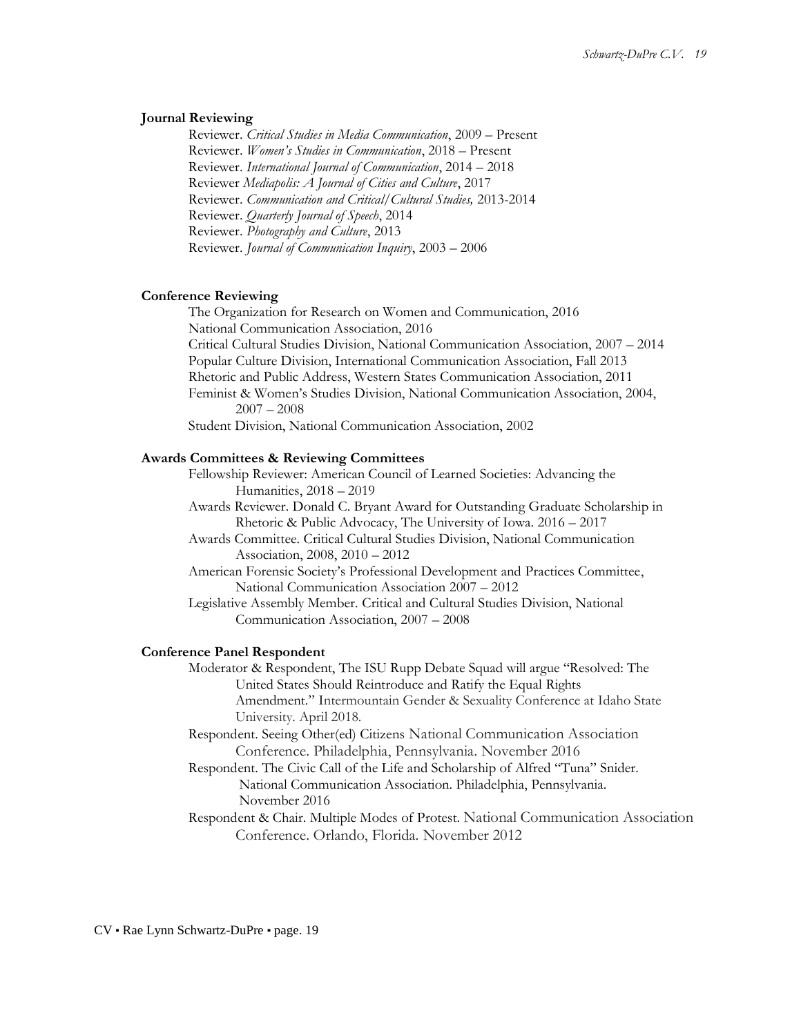#### **Journal Reviewing**

Reviewer. *Critical Studies in Media Communication*, 2009 – Present Reviewer. *Women's Studies in Communication*, 2018 – Present Reviewer. *International Journal of Communication*, 2014 – 2018 Reviewer *Mediapolis: A Journal of Cities and Culture*, 2017 Reviewer. *Communication and Critical/Cultural Studies,* 2013-2014 Reviewer. *Quarterly Journal of Speech*, 2014 Reviewer. *Photography and Culture*, 2013 Reviewer. *Journal of Communication Inquiry*, 2003 – 2006

#### **Conference Reviewing**

The Organization for Research on Women and Communication, 2016 National Communication Association, 2016 Critical Cultural Studies Division, National Communication Association, 2007 – 2014 Popular Culture Division, International Communication Association, Fall 2013 Rhetoric and Public Address, Western States Communication Association, 2011 Feminist & Women's Studies Division, National Communication Association, 2004, 2007 – 2008 Student Division, National Communication Association, 2002

#### **Awards Committees & Reviewing Committees**

Fellowship Reviewer: American Council of Learned Societies: Advancing the Humanities, 2018 – 2019

Awards Reviewer. Donald C. Bryant Award for Outstanding Graduate Scholarship in Rhetoric & Public Advocacy, The University of Iowa. 2016 – 2017

Awards Committee. Critical Cultural Studies Division, National Communication Association, 2008, 2010 – 2012

American Forensic Society's Professional Development and Practices Committee, National Communication Association 2007 – 2012

Legislative Assembly Member. Critical and Cultural Studies Division, National Communication Association, 2007 – 2008

#### **Conference Panel Respondent**

Moderator & Respondent, The ISU Rupp Debate Squad will argue "Resolved: The United States Should Reintroduce and Ratify the Equal Rights Amendment." Intermountain Gender & Sexuality Conference at Idaho State University. April 2018.

- Respondent. Seeing Other(ed) Citizens National Communication Association Conference. Philadelphia, Pennsylvania. November 2016
- Respondent. The Civic Call of the Life and Scholarship of Alfred "Tuna" Snider. National Communication Association. Philadelphia, Pennsylvania. November 2016

Respondent & Chair. Multiple Modes of Protest. National Communication Association Conference. Orlando, Florida. November 2012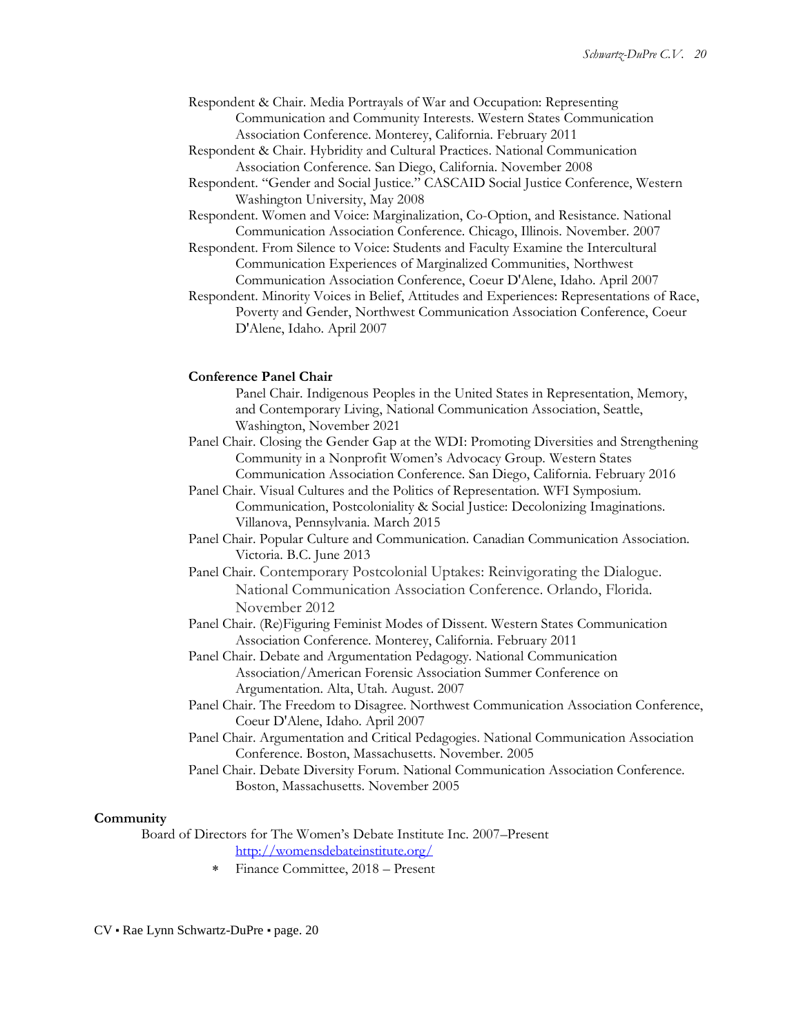- Respondent & Chair. Media Portrayals of War and Occupation: Representing Communication and Community Interests. Western States Communication Association Conference. Monterey, California. February 2011
- Respondent & Chair. Hybridity and Cultural Practices. National Communication Association Conference. San Diego, California. November 2008
- Respondent. "Gender and Social Justice." CASCAID Social Justice Conference, Western Washington University, May 2008
- Respondent. Women and Voice: Marginalization, Co-Option, and Resistance. National Communication Association Conference. Chicago, Illinois. November. 2007
- Respondent. From Silence to Voice: Students and Faculty Examine the Intercultural Communication Experiences of Marginalized Communities, Northwest Communication Association Conference, Coeur D'Alene, Idaho. April 2007
- Respondent. Minority Voices in Belief, Attitudes and Experiences: Representations of Race, Poverty and Gender, Northwest Communication Association Conference, Coeur D'Alene, Idaho. April 2007

#### **Conference Panel Chair**

Panel Chair. Indigenous Peoples in the United States in Representation, Memory, and Contemporary Living, National Communication Association, Seattle, Washington, November 2021

- Panel Chair. Closing the Gender Gap at the WDI: Promoting Diversities and Strengthening Community in a Nonprofit Women's Advocacy Group. Western States Communication Association Conference. San Diego, California. February 2016
- Panel Chair. Visual Cultures and the Politics of Representation. WFI Symposium. Communication, Postcoloniality & Social Justice: Decolonizing Imaginations. Villanova, Pennsylvania. March 2015
- Panel Chair. Popular Culture and Communication. Canadian Communication Association. Victoria. B.C. June 2013
- Panel Chair. Contemporary Postcolonial Uptakes: Reinvigorating the Dialogue. National Communication Association Conference. Orlando, Florida. November 2012
- Panel Chair. (Re)Figuring Feminist Modes of Dissent. Western States Communication Association Conference. Monterey, California. February 2011
- Panel Chair. Debate and Argumentation Pedagogy. National Communication Association/American Forensic Association Summer Conference on Argumentation. Alta, Utah. August. 2007
- Panel Chair. The Freedom to Disagree. Northwest Communication Association Conference, Coeur D'Alene, Idaho. April 2007
- Panel Chair. Argumentation and Critical Pedagogies. National Communication Association Conference. Boston, Massachusetts. November. 2005
- Panel Chair. Debate Diversity Forum. National Communication Association Conference. Boston, Massachusetts. November 2005

#### **Community**

Board of Directors for The Women's Debate Institute Inc. 2007–Present

<http://womensdebateinstitute.org/>

Finance Committee, 2018 – Present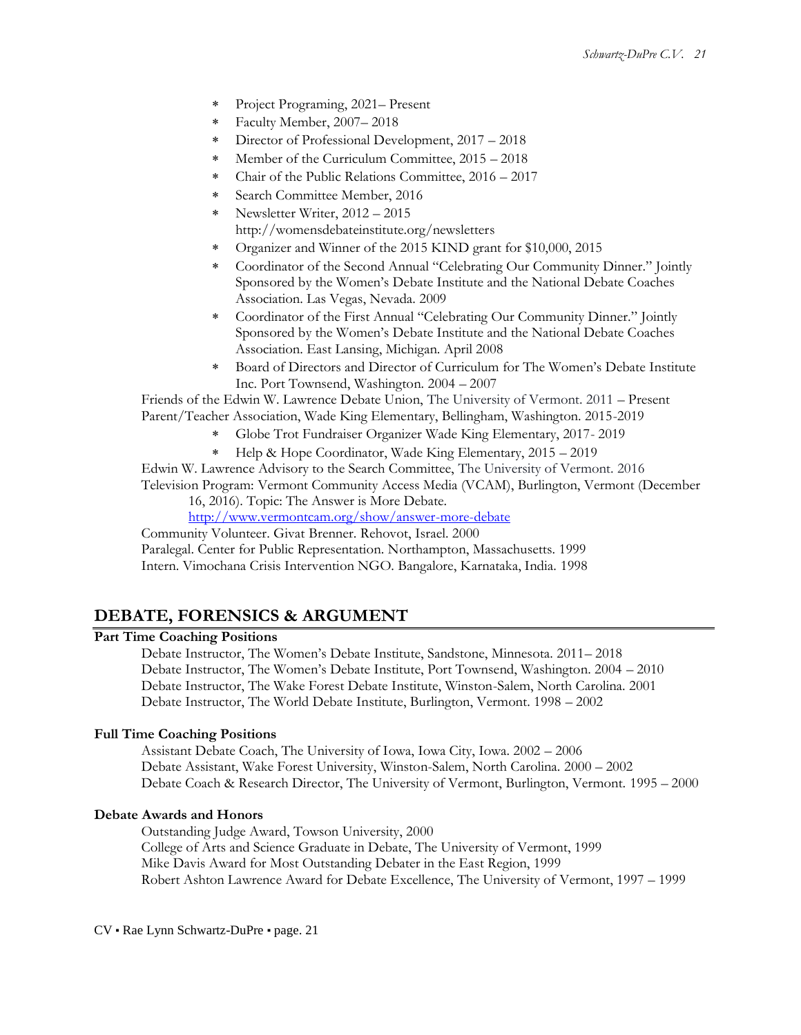- Project Programing, 2021– Present
- Faculty Member, 2007– 2018
- Director of Professional Development, 2017 2018
- Member of the Curriculum Committee, 2015 2018
- Chair of the Public Relations Committee, 2016 2017
- Search Committee Member, 2016
- Newsletter Writer, 2012 2015 http://womensdebateinstitute.org/newsletters
- Organizer and Winner of the 2015 KIND grant for \$10,000, 2015
- Coordinator of the Second Annual "Celebrating Our Community Dinner." Jointly Sponsored by the Women's Debate Institute and the National Debate Coaches Association. Las Vegas, Nevada. 2009
- Coordinator of the First Annual "Celebrating Our Community Dinner." Jointly Sponsored by the Women's Debate Institute and the National Debate Coaches Association. East Lansing, Michigan. April 2008
- Board of Directors and Director of Curriculum for The Women's Debate Institute Inc. Port Townsend, Washington. 2004 – 2007

Friends of the Edwin W. Lawrence Debate Union, The University of Vermont. 2011 – Present Parent/Teacher Association, Wade King Elementary, Bellingham, Washington. 2015-2019

- Globe Trot Fundraiser Organizer Wade King Elementary, 2017- 2019
- Help & Hope Coordinator, Wade King Elementary, 2015 2019
- Edwin W. Lawrence Advisory to the Search Committee, The University of Vermont. 2016

Television Program: Vermont Community Access Media (VCAM), Burlington, Vermont (December 16, 2016). Topic: The Answer is More Debate.

<http://www.vermontcam.org/show/answer-more-debate>

Community Volunteer. Givat Brenner. Rehovot, Israel. 2000

Paralegal. Center for Public Representation. Northampton, Massachusetts. 1999 Intern. Vimochana Crisis Intervention NGO. Bangalore, Karnataka, India. 1998

## **DEBATE, FORENSICS & ARGUMENT**

#### **Part Time Coaching Positions**

Debate Instructor, The Women's Debate Institute, Sandstone, Minnesota. 2011– 2018 Debate Instructor, The Women's Debate Institute, Port Townsend, Washington. 2004 – 2010 Debate Instructor, The Wake Forest Debate Institute, Winston-Salem, North Carolina. 2001 Debate Instructor, The World Debate Institute, Burlington, Vermont. 1998 – 2002

### **Full Time Coaching Positions**

Assistant Debate Coach, The University of Iowa, Iowa City, Iowa. 2002 – 2006 Debate Assistant, Wake Forest University, Winston-Salem, North Carolina. 2000 – 2002 Debate Coach & Research Director, The University of Vermont, Burlington, Vermont. 1995 – 2000

### **Debate Awards and Honors**

Outstanding Judge Award, Towson University, 2000 College of Arts and Science Graduate in Debate, The University of Vermont, 1999 Mike Davis Award for Most Outstanding Debater in the East Region, 1999 Robert Ashton Lawrence Award for Debate Excellence, The University of Vermont, 1997 – 1999